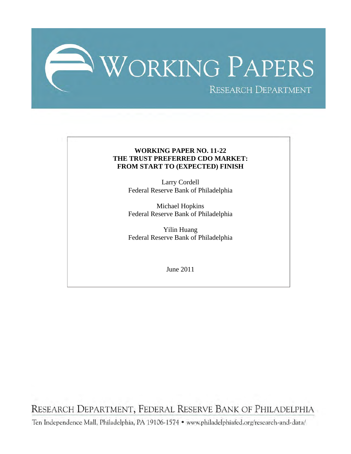

#### **WORKING PAPER NO. 11-22 THE TRUST PREFERRED CDO MARKET: FROM START TO (EXPECTED) FINISH**

Larry Cordell Federal Reserve Bank of Philadelphia

Michael Hopkins Federal Reserve Bank of Philadelphia

Yilin Huang Federal Reserve Bank of Philadelphia

June 2011

RESEARCH DEPARTMENT, FEDERAL RESERVE BANK OF PHILADELPHIA

Ten Independence Mall, Philadelphia, PA 19106-1574 · www.philadelphiafed.org/research-and-data/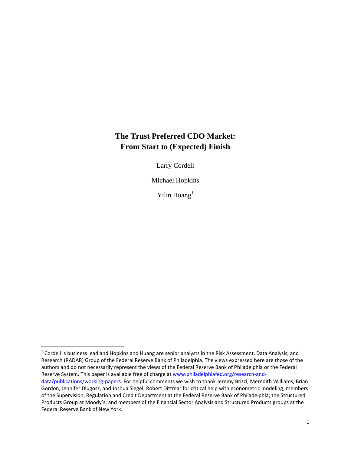# **The Trust Preferred CDO Market: From Start to (Expected) Finish**

Larry Cordell

Michael Hopkins

Yilin Huang $<sup>1</sup>$ </sup>

 $1$  Cordell is business lead and Hopkins and Huang are senior analysts in the Risk Assessment, Data Analysis, and Research (RADAR) Group of the Federal Reserve Bank of Philadelphia. The views expressed here are those of the authors and do not necessarily represent the views of the Federal Reserve Bank of Philadelphia or the Federal Reserve System. This paper is available free of charge at www.philadelphiafed.org/research-anddata/publications/working-papers. For helpful comments we wish to thank Jeremy Brizzi, Meredith Williams, Brian Gordon, Jennifer Dlugosz, and Joshua Siegel; Robert Dittmar for critical help with econometric modeling; members of the Supervision, Regulation and Credit Department at the Federal Reserve Bank of Philadelphia; the Structured Products Group at Moody's; and members of the Financial Sector Analysis and Structured Products groups at the Federal Reserve Bank of New York.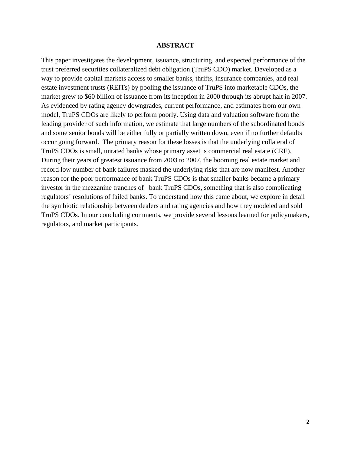#### **ABSTRACT**

This paper investigates the development, issuance, structuring, and expected performance of the trust preferred securities collateralized debt obligation (TruPS CDO) market. Developed as a way to provide capital markets access to smaller banks, thrifts, insurance companies, and real estate investment trusts (REITs) by pooling the issuance of TruPS into marketable CDOs, the market grew to \$60 billion of issuance from its inception in 2000 through its abrupt halt in 2007. As evidenced by rating agency downgrades, current performance, and estimates from our own model, TruPS CDOs are likely to perform poorly. Using data and valuation software from the leading provider of such information, we estimate that large numbers of the subordinated bonds and some senior bonds will be either fully or partially written down, even if no further defaults occur going forward. The primary reason for these losses is that the underlying collateral of TruPS CDOs is small, unrated banks whose primary asset is commercial real estate (CRE). During their years of greatest issuance from 2003 to 2007, the booming real estate market and record low number of bank failures masked the underlying risks that are now manifest. Another reason for the poor performance of bank TruPS CDOs is that smaller banks became a primary investor in the mezzanine tranches of bank TruPS CDOs, something that is also complicating regulators' resolutions of failed banks. To understand how this came about, we explore in detail the symbiotic relationship between dealers and rating agencies and how they modeled and sold TruPS CDOs. In our concluding comments, we provide several lessons learned for policymakers, regulators, and market participants.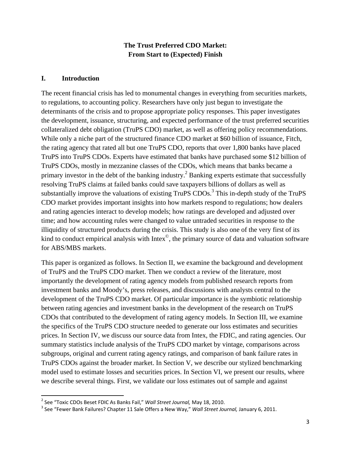### **The Trust Preferred CDO Market: From Start to (Expected) Finish**

#### **I. Introduction**

The recent financial crisis has led to monumental changes in everything from securities markets, to regulations, to accounting policy. Researchers have only just begun to investigate the determinants of the crisis and to propose appropriate policy responses. This paper investigates the development, issuance, structuring, and expected performance of the trust preferred securities collateralized debt obligation (TruPS CDO) market, as well as offering policy recommendations. While only a niche part of the structured finance CDO market at \$60 billion of issuance, Fitch, the rating agency that rated all but one TruPS CDO, reports that over 1,800 banks have placed TruPS into TruPS CDOs. Experts have estimated that banks have purchased some \$12 billion of TruPS CDOs, mostly in mezzanine classes of the CDOs, which means that banks became a primary investor in the debt of the banking industry.<sup>2</sup> Banking experts estimate that successfully resolving TruPS claims at failed banks could save taxpayers billions of dollars as well as substantially improve the valuations of existing TruPS CDOs.<sup>3</sup> This in-depth study of the TruPS CDO market provides important insights into how markets respond to regulations; how dealers and rating agencies interact to develop models; how ratings are developed and adjusted over time; and how accounting rules were changed to value untraded securities in response to the illiquidity of structured products during the crisis. This study is also one of the very first of its kind to conduct empirical analysis with Intex<sup>©</sup>, the primary source of data and valuation software for ABS/MBS markets.

This paper is organized as follows. In Section II, we examine the background and development of TruPS and the TruPS CDO market. Then we conduct a review of the literature, most importantly the development of rating agency models from published research reports from investment banks and Moody's, press releases, and discussions with analysts central to the development of the TruPS CDO market. Of particular importance is the symbiotic relationship between rating agencies and investment banks in the development of the research on TruPS CDOs that contributed to the development of rating agency models. In Section III, we examine the specifics of the TruPS CDO structure needed to generate our loss estimates and securities prices. In Section IV, we discuss our source data from Intex, the FDIC, and rating agencies. Our summary statistics include analysis of the TruPS CDO market by vintage, comparisons across subgroups, original and current rating agency ratings, and comparison of bank failure rates in TruPS CDOs against the broader market. In Section V, we describe our stylized benchmarking model used to estimate losses and securities prices. In Section VI, we present our results, where we describe several things. First, we validate our loss estimates out of sample and against

<sup>2</sup> See "Toxic CDOs Beset FDIC As Banks Fail," *Wall Street Journal,* May 18, 2010. <sup>3</sup> See "Fewer Bank Failures? Chapter <sup>11</sup> Sale Offers <sup>a</sup> New Way," *Wall Street Journal,* January 6, 2011.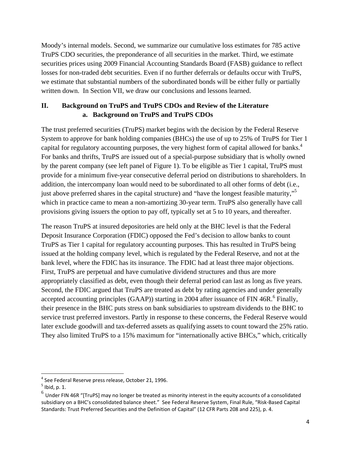Moody's internal models. Second, we summarize our cumulative loss estimates for 785 active TruPS CDO securities, the preponderance of all securities in the market. Third, we estimate securities prices using 2009 Financial Accounting Standards Board (FASB) guidance to reflect losses for non-traded debt securities. Even if no further deferrals or defaults occur with TruPS, we estimate that substantial numbers of the subordinated bonds will be either fully or partially written down. In Section VII, we draw our conclusions and lessons learned.

## **II. Background on TruPS and TruPS CDOs and Review of the Literature a. Background on TruPS and TruPS CDOs**

The trust preferred securities (TruPS) market begins with the decision by the Federal Reserve System to approve for bank holding companies (BHCs) the use of up to 25% of TruPS for Tier 1 capital for regulatory accounting purposes, the very highest form of capital allowed for banks.<sup>4</sup> For banks and thrifts, TruPS are issued out of a special-purpose subsidiary that is wholly owned by the parent company (see left panel of Figure 1). To be eligible as Tier 1 capital, TruPS must provide for a minimum five-year consecutive deferral period on distributions to shareholders. In addition, the intercompany loan would need to be subordinated to all other forms of debt (i.e., just above preferred shares in the capital structure) and "have the longest feasible maturity,"<sup>5</sup> which in practice came to mean a non-amortizing 30-year term. TruPS also generally have call provisions giving issuers the option to pay off, typically set at 5 to 10 years, and thereafter.

The reason TruPS at insured depositories are held only at the BHC level is that the Federal Deposit Insurance Corporation (FDIC) opposed the Fed's decision to allow banks to count TruPS as Tier 1 capital for regulatory accounting purposes. This has resulted in TruPS being issued at the holding company level, which is regulated by the Federal Reserve, and not at the bank level, where the FDIC has its insurance. The FDIC had at least three major objections. First, TruPS are perpetual and have cumulative dividend structures and thus are more appropriately classified as debt, even though their deferral period can last as long as five years. Second, the FDIC argued that TruPS are treated as debt by rating agencies and under generally accepted accounting principles  $(GAAP)$ ) starting in 2004 after issuance of FIN 46R.<sup>6</sup> Finally, their presence in the BHC puts stress on bank subsidiaries to upstream dividends to the BHC to service trust preferred investors. Partly in response to these concerns, the Federal Reserve would later exclude goodwill and tax-deferred assets as qualifying assets to count toward the 25% ratio. They also limited TruPS to a 15% maximum for "internationally active BHCs," which, critically

 <sup>4</sup> See Federal Reserve press release, October 21, 1996.<br> $5$  Ibid, p. 1.

 $^6$  Under FIN 46R "[TruPS] may no longer be treated as minority interest in the equity accounts of a consolidated subsidiary on a BHC's consolidated balance sheet." See Federal Reserve System, Final Rule, "Risk‐Based Capital Standards: Trust Preferred Securities and the Definition of Capital" (12 CFR Parts 208 and 225), p. 4.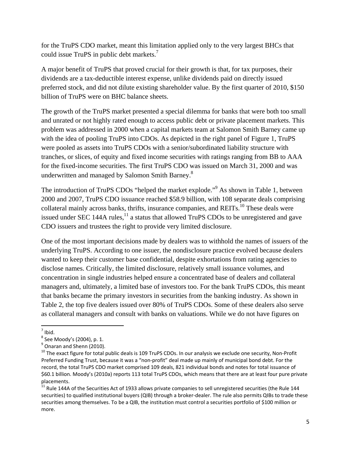for the TruPS CDO market, meant this limitation applied only to the very largest BHCs that could issue TruPS in public debt markets.<sup>7</sup>

A major benefit of TruPS that proved crucial for their growth is that, for tax purposes, their dividends are a tax-deductible interest expense, unlike dividends paid on directly issued preferred stock, and did not dilute existing shareholder value. By the first quarter of 2010, \$150 billion of TruPS were on BHC balance sheets.

The growth of the TruPS market presented a special dilemma for banks that were both too small and unrated or not highly rated enough to access public debt or private placement markets. This problem was addressed in 2000 when a capital markets team at Salomon Smith Barney came up with the idea of pooling TruPS into CDOs. As depicted in the right panel of Figure 1, TruPS were pooled as assets into TruPS CDOs with a senior/subordinated liability structure with tranches, or slices, of equity and fixed income securities with ratings ranging from BB to AAA for the fixed-income securities. The first TruPS CDO was issued on March 31, 2000 and was underwritten and managed by Salomon Smith Barney.<sup>8</sup>

The introduction of TruPS CDOs "helped the market explode."<sup>9</sup> As shown in Table 1, between 2000 and 2007, TruPS CDO issuance reached \$58.9 billion, with 108 separate deals comprising collateral mainly across banks, thrifts, insurance companies, and REITs.<sup>10</sup> These deals were issued under SEC 144A rules, $^{11}$  a status that allowed TruPS CDOs to be unregistered and gave CDO issuers and trustees the right to provide very limited disclosure.

One of the most important decisions made by dealers was to withhold the names of issuers of the underlying TruPS. According to one issuer, the nondisclosure practice evolved because dealers wanted to keep their customer base confidential, despite exhortations from rating agencies to disclose names. Critically, the limited disclosure, relatively small issuance volumes, and concentration in single industries helped ensure a concentrated base of dealers and collateral managers and, ultimately, a limited base of investors too. For the bank TruPS CDOs, this meant that banks became the primary investors in securities from the banking industry. As shown in Table 2, the top five dealers issued over 80% of TruPS CDOs. Some of these dealers also serve as collateral managers and consult with banks on valuations. While we do not have figures on

 $^7$ Ibid.<br> $^8$  See Moody's (2004), p. 1.

<sup>8</sup> See Moody's (2004), p. 1. 9 Onaran and Shenn (2010).<br><sup>10</sup> Onaran and Shenn (2010). 10 The exact figure for total public deals is 109 TruPS CDOs. In our analysis we exclude one security, Non-Profit Preferred Funding Trust, because it was a "non‐profit" deal made up mainly of municipal bond debt. For the record, the total TruPS CDO market comprised 109 deals, 821 individual bonds and notes for total issuance of \$60.1 billion. Moody's (2010a) reports 113 total TruPS CDOs, which means that there are at least four pure private placements.<br><sup>11</sup> Rule 144A of the Securities Act of 1933 allows private companies to sell unregistered securities (the Rule 144

securities) to qualified institutional buyers (QIB) through a broker-dealer. The rule also permits QIBs to trade these securities among themselves. To be a QIB, the institution must control a securities portfolio of \$100 million or more.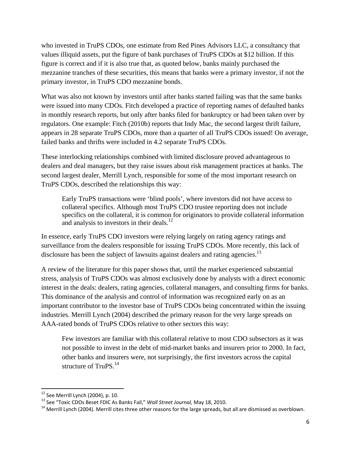who invested in TruPS CDOs, one estimate from Red Pines Advisors LLC, a consultancy that values illiquid assets, put the figure of bank purchases of TruPS CDOs at \$12 billion. If this figure is correct and if it is also true that, as quoted below, banks mainly purchased the mezzanine tranches of these securities, this means that banks were a primary investor, if not the primary investor, in TruPS CDO mezzanine bonds.

What was also not known by investors until after banks started failing was that the same banks were issued into many CDOs. Fitch developed a practice of reporting names of defaulted banks in monthly research reports, but only after banks filed for bankruptcy or had been taken over by regulators. One example: Fitch (2010b) reports that Indy Mac, the second largest thrift failure, appears in 28 separate TruPS CDOs, more than a quarter of all TruPS CDOs issued! On average, failed banks and thrifts were included in 4.2 separate TruPS CDOs.

These interlocking relationships combined with limited disclosure proved advantageous to dealers and deal managers, but they raise issues about risk management practices at banks. The second largest dealer, Merrill Lynch, responsible for some of the most important research on TruPS CDOs, described the relationships this way:

Early TruPS transactions were 'blind pools', where investors did not have access to collateral specifics. Although most TruPS CDO trustee reporting does not include specifics on the collateral, it is common for originators to provide collateral information and analysis to investors in their deals. $^{12}$ 

In essence, early TruPS CDO investors were relying largely on rating agency ratings and surveillance from the dealers responsible for issuing TruPS CDOs. More recently, this lack of disclosure has been the subject of lawsuits against dealers and rating agencies.<sup>13</sup>

A review of the literature for this paper shows that, until the market experienced substantial stress, analysis of TruPS CDOs was almost exclusively done by analysts with a direct economic interest in the deals: dealers, rating agencies, collateral managers, and consulting firms for banks. This dominance of the analysis and control of information was recognized early on as an important contributor to the investor base of TruPS CDOs being concentrated within the issuing industries. Merrill Lynch (2004) described the primary reason for the very large spreads on AAA-rated bonds of TruPS CDOs relative to other sectors this way:

Few investors are familiar with this collateral relative to most CDO subsectors as it was not possible to invest in the debt of mid-market banks and insurers prior to 2000. In fact, other banks and insurers were, not surprisingly, the first investors across the capital structure of TruPS.<sup>14</sup>

<sup>&</sup>lt;sup>12</sup> See Merrill Lynch (2004), p. 10.<br><sup>13</sup> See "Toxic CDOs Beset FDIC As Banks Fail," *Wall Street Journal,* May 18, 2010.<br><sup>14</sup> Merrill Lynch (2004). Merrill cites three other reasons for the large spreads, but all are dis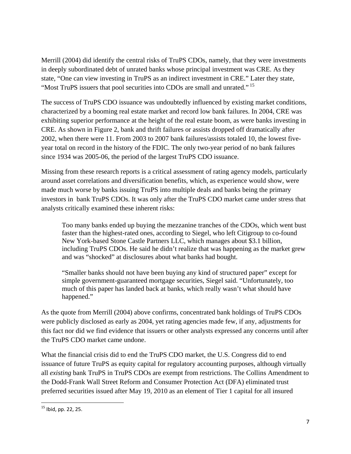Merrill (2004) did identify the central risks of TruPS CDOs, namely, that they were investments in deeply subordinated debt of unrated banks whose principal investment was CRE. As they state, "One can view investing in TruPS as an indirect investment in CRE." Later they state, "Most TruPS issuers that pool securities into CDOs are small and unrated."<sup>15</sup>

The success of TruPS CDO issuance was undoubtedly influenced by existing market conditions, characterized by a booming real estate market and record low bank failures. In 2004, CRE was exhibiting superior performance at the height of the real estate boom, as were banks investing in CRE. As shown in Figure 2, bank and thrift failures or assists dropped off dramatically after 2002, when there were 11. From 2003 to 2007 bank failures/assists totaled 10, the lowest fiveyear total on record in the history of the FDIC. The only two-year period of no bank failures since 1934 was 2005-06, the period of the largest TruPS CDO issuance.

Missing from these research reports is a critical assessment of rating agency models, particularly around asset correlations and diversification benefits, which, as experience would show, were made much worse by banks issuing TruPS into multiple deals and banks being the primary investors in bank TruPS CDOs. It was only after the TruPS CDO market came under stress that analysts critically examined these inherent risks:

Too many banks ended up buying the mezzanine tranches of the CDOs, which went bust faster than the highest-rated ones, according to Siegel, who left Citigroup to co-found New York-based Stone Castle Partners LLC, which manages about \$3.1 billion, including TruPS CDOs. He said he didn't realize that was happening as the market grew and was "shocked" at disclosures about what banks had bought.

"Smaller banks should not have been buying any kind of structured paper" except for simple government-guaranteed mortgage securities, Siegel said. "Unfortunately, too much of this paper has landed back at banks, which really wasn't what should have happened."

As the quote from Merrill (2004) above confirms, concentrated bank holdings of TruPS CDOs were publicly disclosed as early as 2004, yet rating agencies made few, if any, adjustments for this fact nor did we find evidence that issuers or other analysts expressed any concerns until after the TruPS CDO market came undone.

What the financial crisis did to end the TruPS CDO market, the U.S. Congress did to end issuance of future TruPS as equity capital for regulatory accounting purposes, although virtually all *existing* bank TruPS in TruPS CDOs are exempt from restrictions. The Collins Amendment to the Dodd-Frank Wall Street Reform and Consumer Protection Act (DFA) eliminated trust preferred securities issued after May 19, 2010 as an element of Tier 1 capital for all insured

 $15$  Ibid, pp. 22, 25.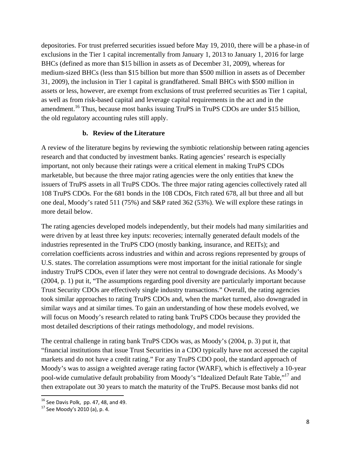depositories. For trust preferred securities issued before May 19, 2010, there will be a phase-in of exclusions in the Tier 1 capital incrementally from January 1, 2013 to January 1, 2016 for large BHCs (defined as more than \$15 billion in assets as of December 31, 2009), whereas for medium-sized BHCs (less than \$15 billion but more than \$500 million in assets as of December 31, 2009), the inclusion in Tier 1 capital is grandfathered. Small BHCs with \$500 million in assets or less, however, are exempt from exclusions of trust preferred securities as Tier 1 capital, as well as from risk-based capital and leverage capital requirements in the act and in the amendment.<sup>16</sup> Thus, because most banks issuing TruPS in TruPS CDOs are under \$15 billion, the old regulatory accounting rules still apply.

#### **b. Review of the Literature**

A review of the literature begins by reviewing the symbiotic relationship between rating agencies research and that conducted by investment banks. Rating agencies' research is especially important, not only because their ratings were a critical element in making TruPS CDOs marketable, but because the three major rating agencies were the only entities that knew the issuers of TruPS assets in all TruPS CDOs. The three major rating agencies collectively rated all 108 TruPS CDOs. For the 681 bonds in the 108 CDOs, Fitch rated 678, all but three and all but one deal, Moody's rated 511 (75%) and S&P rated 362 (53%). We will explore these ratings in more detail below.

The rating agencies developed models independently, but their models had many similarities and were driven by at least three key inputs: recoveries; internally generated default models of the industries represented in the TruPS CDO (mostly banking, insurance, and REITs); and correlation coefficients across industries and within and across regions represented by groups of U.S. states. The correlation assumptions were most important for the initial rationale for single industry TruPS CDOs, even if later they were not central to downgrade decisions. As Moody's (2004, p. 1) put it, "The assumptions regarding pool diversity are particularly important because Trust Security CDOs are effectively single industry transactions." Overall, the rating agencies took similar approaches to rating TruPS CDOs and, when the market turned, also downgraded in similar ways and at similar times. To gain an understanding of how these models evolved, we will focus on Moody's research related to rating bank TruPS CDOs because they provided the most detailed descriptions of their ratings methodology, and model revisions.

The central challenge in rating bank TruPS CDOs was, as Moody's (2004, p. 3) put it, that "financial institutions that issue Trust Securities in a CDO typically have not accessed the capital markets and do not have a credit rating." For any TruPS CDO pool, the standard approach of Moody's was to assign a weighted average rating factor (WARF), which is effectively a 10-year pool-wide cumulative default probability from Moody's "Idealized Default Rate Table,"17 and then extrapolate out 30 years to match the maturity of the TruPS. Because most banks did not

 <sup>16</sup> See Davis Polk, pp. 47, 48, and 49.<br><sup>17</sup> See Moody's 2010 (a), p. 4.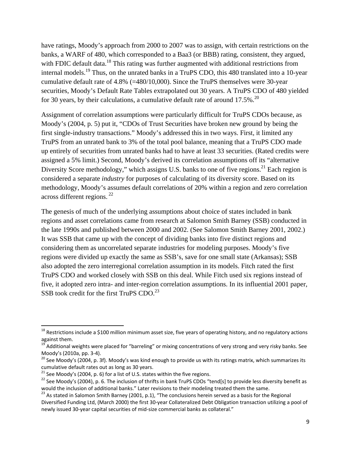have ratings, Moody's approach from 2000 to 2007 was to assign, with certain restrictions on the banks, a WARF of 480, which corresponded to a Baa3 (or BBB) rating, consistent, they argued, with FDIC default data.<sup>18</sup> This rating was further augmented with additional restrictions from internal models.<sup>19</sup> Thus, on the unrated banks in a TruPS CDO, this 480 translated into a 10-year cumulative default rate of 4.8% (=480/10,000). Since the TruPS themselves were 30-year securities, Moody's Default Rate Tables extrapolated out 30 years. A TruPS CDO of 480 yielded for 30 years, by their calculations, a cumulative default rate of around  $17.5\%$ <sup>20</sup>

Assignment of correlation assumptions were particularly difficult for TruPS CDOs because, as Moody's (2004, p. 5) put it, "CDOs of Trust Securities have broken new ground by being the first single-industry transactions." Moody's addressed this in two ways. First, it limited any TruPS from an unrated bank to 3% of the total pool balance, meaning that a TruPS CDO made up entirely of securities from unrated banks had to have at least 33 securities. (Rated credits were assigned a 5% limit.) Second, Moody's derived its correlation assumptions off its "alternative Diversity Score methodology," which assigns U.S. banks to one of five regions.<sup>21</sup> Each region is considered a separate *industry* for purposes of calculating of its diversity score. Based on its methodology, Moody's assumes default correlations of 20% within a region and zero correlation across different regions. 22

The genesis of much of the underlying assumptions about choice of states included in bank regions and asset correlations came from research at Salomon Smith Barney (SSB) conducted in the late 1990s and published between 2000 and 2002. (See Salomon Smith Barney 2001, 2002.) It was SSB that came up with the concept of dividing banks into five distinct regions and considering them as uncorrelated separate industries for modeling purposes. Moody's five regions were divided up exactly the same as SSB's, save for one small state (Arkansas); SSB also adopted the zero interregional correlation assumption in its models. Fitch rated the first TruPS CDO and worked closely with SSB on this deal. While Fitch used six regions instead of five, it adopted zero intra- and inter-region correlation assumptions. In its influential 2001 paper, SSB took credit for the first TruPS CDO.<sup>23</sup>

<sup>&</sup>lt;sup>18</sup> Restrictions include a \$100 million minimum asset size, five years of operating history, and no regulatory actions

against them.<br><sup>19</sup> Additional weights were placed for "barreling" or mixing concentrations of very strong and very risky banks. See<br>Moody's (2010a, pp. 3-4).

<sup>&</sup>lt;sup>20</sup> See Moody's (2004, p. 3f). Moody's was kind enough to provide us with its ratings matrix, which summarizes its

cumulative default rates out as long as 30 years.<br>
<sup>21</sup> See Moody's (2004, p. 6) for a list of U.S. states within the five regions.<br>
<sup>22</sup> See Moody's (2004), p. 6. The inclusion of thrifts in bank TruPS CDOs "tend[s] to pr

<sup>&</sup>lt;sup>23</sup> As stated in Salomon Smith Barney (2001, p.1), "The conclusions herein served as a basis for the Regional Diversified Funding Ltd, (March 2000) the first 30‐year Collateralized Debt Obligation transaction utilizing a pool of newly issued 30‐year capital securities of mid‐size commercial banks as collateral."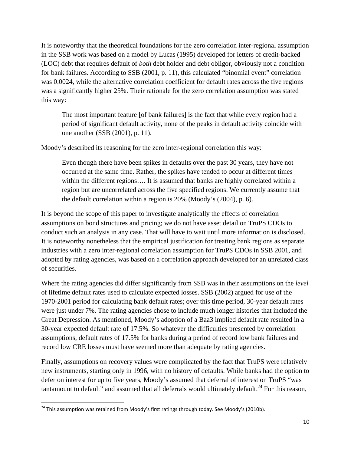It is noteworthy that the theoretical foundations for the zero correlation inter-regional assumption in the SSB work was based on a model by Lucas (1995) developed for letters of credit-backed (LOC) debt that requires default of *both* debt holder and debt obligor, obviously not a condition for bank failures. According to SSB (2001, p. 11), this calculated "binomial event" correlation was 0.0024, while the alternative correlation coefficient for default rates across the five regions was a significantly higher 25%. Their rationale for the zero correlation assumption was stated this way:

The most important feature [of bank failures] is the fact that while every region had a period of significant default activity, none of the peaks in default activity coincide with one another (SSB (2001), p. 11).

Moody's described its reasoning for the zero inter-regional correlation this way:

Even though there have been spikes in defaults over the past 30 years, they have not occurred at the same time. Rather, the spikes have tended to occur at different times within the different regions…. It is assumed that banks are highly correlated within a region but are uncorrelated across the five specified regions. We currently assume that the default correlation within a region is 20% (Moody's (2004), p. 6).

It is beyond the scope of this paper to investigate analytically the effects of correlation assumptions on bond structures and pricing; we do not have asset detail on TruPS CDOs to conduct such an analysis in any case. That will have to wait until more information is disclosed. It is noteworthy nonetheless that the empirical justification for treating bank regions as separate industries with a zero inter-regional correlation assumption for TruPS CDOs in SSB 2001, and adopted by rating agencies, was based on a correlation approach developed for an unrelated class of securities.

Where the rating agencies did differ significantly from SSB was in their assumptions on the *level* of lifetime default rates used to calculate expected losses. SSB (2002) argued for use of the 1970-2001 period for calculating bank default rates; over this time period, 30-year default rates were just under 7%. The rating agencies chose to include much longer histories that included the Great Depression. As mentioned, Moody's adoption of a Baa3 implied default rate resulted in a 30-year expected default rate of 17.5%. So whatever the difficulties presented by correlation assumptions, default rates of 17.5% for banks during a period of record low bank failures and record low CRE losses must have seemed more than adequate by rating agencies.

Finally, assumptions on recovery values were complicated by the fact that TruPS were relatively new instruments, starting only in 1996, with no history of defaults. While banks had the option to defer on interest for up to five years, Moody's assumed that deferral of interest on TruPS "was tantamount to default" and assumed that all deferrals would ultimately default.<sup>24</sup> For this reason,

 $^{24}$  This assumption was retained from Moody's first ratings through today. See Moody's (2010b).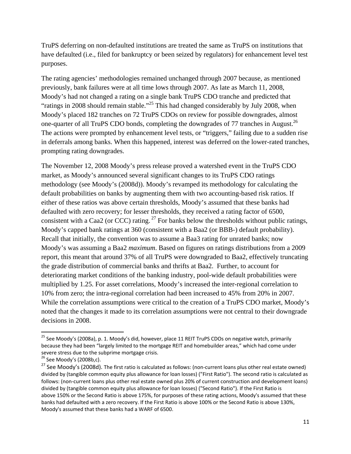TruPS deferring on non-defaulted institutions are treated the same as TruPS on institutions that have defaulted (i.e., filed for bankruptcy or been seized by regulators) for enhancement level test purposes.

The rating agencies' methodologies remained unchanged through 2007 because, as mentioned previously, bank failures were at all time lows through 2007. As late as March 11, 2008, Moody's had not changed a rating on a single bank TruPS CDO tranche and predicted that "ratings in 2008 should remain stable."25 This had changed considerably by July 2008, when Moody's placed 182 tranches on 72 TruPS CDOs on review for possible downgrades, almost one-quarter of all TruPS CDO bonds, completing the downgrades of 77 tranches in August.<sup>26</sup> The actions were prompted by enhancement level tests, or "triggers," failing due to a sudden rise in deferrals among banks. When this happened, interest was deferred on the lower-rated tranches, prompting rating downgrades.

The November 12, 2008 Moody's press release proved a watershed event in the TruPS CDO market, as Moody's announced several significant changes to its TruPS CDO ratings methodology (see Moody's (2008d)). Moody's revamped its methodology for calculating the default probabilities on banks by augmenting them with two accounting-based risk ratios. If either of these ratios was above certain thresholds, Moody's assumed that these banks had defaulted with zero recovery; for lesser thresholds, they received a rating factor of 6500, consistent with a Caa2 (or CCC) rating.<sup>27</sup> For banks below the thresholds without public ratings, Moody's capped bank ratings at 360 (consistent with a Baa2 (or BBB-) default probability). Recall that initially, the convention was to assume a Baa3 rating for unrated banks; now Moody's was assuming a Baa2 *maximum*. Based on figures on ratings distributions from a 2009 report, this meant that around 37% of all TruPS were downgraded to Baa2, effectively truncating the grade distribution of commercial banks and thrifts at Baa2. Further, to account for deteriorating market conditions of the banking industry, pool-wide default probabilities were multiplied by 1.25. For asset correlations, Moody's increased the inter-regional correlation to 10% from zero; the intra-regional correlation had been increased to 45% from 20% in 2007. While the correlation assumptions were critical to the creation of a TruPS CDO market, Moody's noted that the changes it made to its correlation assumptions were not central to their downgrade decisions in 2008.

<sup>&</sup>lt;sup>25</sup> See Moody's (2008a), p. 1. Moody's did, however, place 11 REIT TruPS CDOs on negative watch, primarily because they had been "largely limited to the mortgage REIT and homebuilder areas," which had come under severe stress due to the subprime mortgage crisis.<br><sup>26</sup> See Moody's (2008b,c).

<sup>&</sup>lt;sup>27</sup> See Moody's (2008d). The first ratio is calculated as follows: (non-current loans plus other real estate owned) divided by (tangible common equity plus allowance for loan losses) ("First Ratio"). The second ratio is calculated as follows: (non-current loans plus other real estate owned plus 20% of current construction and development loans) divided by (tangible common equity plus allowance for loan losses) ("Second Ratio"). If the First Ratio is above 150% or the Second Ratio is above 175%, for purposes of these rating actions, Moody's assumed that these banks had defaulted with a zero recovery. If the First Ratio is above 100% or the Second Ratio is above 130%, Moody's assumed that these banks had a WARF of 6500.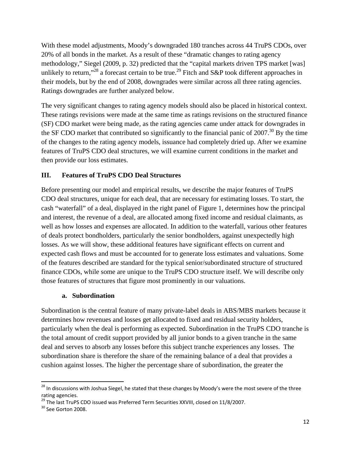With these model adjustments, Moody's downgraded 180 tranches across 44 TruPS CDOs, over 20% of all bonds in the market. As a result of these "dramatic changes to rating agency methodology," Siegel (2009, p. 32) predicted that the "capital markets driven TPS market [was] unlikely to return,"<sup>28</sup> a forecast certain to be true.<sup>29</sup> Fitch and S&P took different approaches in their models, but by the end of 2008, downgrades were similar across all three rating agencies. Ratings downgrades are further analyzed below.

The very significant changes to rating agency models should also be placed in historical context. These ratings revisions were made at the same time as ratings revisions on the structured finance (SF) CDO market were being made, as the rating agencies came under attack for downgrades in the SF CDO market that contributed so significantly to the financial panic of  $2007$ .<sup>30</sup> By the time of the changes to the rating agency models, issuance had completely dried up. After we examine features of TruPS CDO deal structures, we will examine current conditions in the market and then provide our loss estimates.

### **III. Features of TruPS CDO Deal Structures**

Before presenting our model and empirical results, we describe the major features of TruPS CDO deal structures, unique for each deal, that are necessary for estimating losses. To start, the cash "waterfall" of a deal, displayed in the right panel of Figure 1, determines how the principal and interest, the revenue of a deal, are allocated among fixed income and residual claimants, as well as how losses and expenses are allocated. In addition to the waterfall, various other features of deals protect bondholders, particularly the senior bondholders, against unexpectedly high losses. As we will show, these additional features have significant effects on current and expected cash flows and must be accounted for to generate loss estimates and valuations. Some of the features described are standard for the typical senior/subordinated structure of structured finance CDOs, while some are unique to the TruPS CDO structure itself. We will describe only those features of structures that figure most prominently in our valuations.

#### **a. Subordination**

Subordination is the central feature of many private-label deals in ABS/MBS markets because it determines how revenues and losses get allocated to fixed and residual security holders, particularly when the deal is performing as expected. Subordination in the TruPS CDO tranche is the total amount of credit support provided by all junior bonds to a given tranche in the same deal and serves to absorb any losses before this subject tranche experiences any losses. The subordination share is therefore the share of the remaining balance of a deal that provides a cushion against losses. The higher the percentage share of subordination, the greater the

<sup>&</sup>lt;sup>28</sup> In discussions with Joshua Siegel, he stated that these changes by Moody's were the most severe of the three

rating agencies.<br><sup>29</sup> The last TruPS CDO issued was Preferred Term Securities XXVIII, closed on 11/8/2007.<br><sup>30</sup> See Gorton 2008.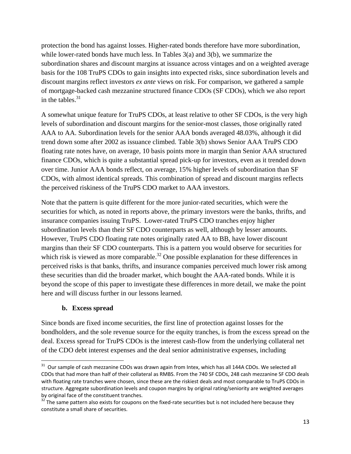protection the bond has against losses. Higher-rated bonds therefore have more subordination, while lower-rated bonds have much less. In Tables 3(a) and 3(b), we summarize the subordination shares and discount margins at issuance across vintages and on a weighted average basis for the 108 TruPS CDOs to gain insights into expected risks, since subordination levels and discount margins reflect investors *ex ante* views on risk. For comparison, we gathered a sample of mortgage-backed cash mezzanine structured finance CDOs (SF CDOs), which we also report in the tables. $31$ 

A somewhat unique feature for TruPS CDOs, at least relative to other SF CDOs, is the very high levels of subordination and discount margins for the senior-most classes, those originally rated AAA to AA. Subordination levels for the senior AAA bonds averaged 48.03%, although it did trend down some after 2002 as issuance climbed. Table 3(b) shows Senior AAA TruPS CDO floating rate notes have, on average, 10 basis points more in margin than Senior AAA structured finance CDOs, which is quite a substantial spread pick-up for investors, even as it trended down over time. Junior AAA bonds reflect, on average, 15% higher levels of subordination than SF CDOs, with almost identical spreads. This combination of spread and discount margins reflects the perceived riskiness of the TruPS CDO market to AAA investors.

Note that the pattern is quite different for the more junior-rated securities, which were the securities for which, as noted in reports above, the primary investors were the banks, thrifts, and insurance companies issuing TruPS. Lower-rated TruPS CDO tranches enjoy higher subordination levels than their SF CDO counterparts as well, although by lesser amounts. However, TruPS CDO floating rate notes originally rated AA to BB, have lower discount margins than their SF CDO counterparts. This is a pattern you would observe for securities for which risk is viewed as more comparable.<sup>32</sup> One possible explanation for these differences in perceived risks is that banks, thrifts, and insurance companies perceived much lower risk among these securities than did the broader market, which bought the AAA-rated bonds. While it is beyond the scope of this paper to investigate these differences in more detail, we make the point here and will discuss further in our lessons learned.

## **b. Excess spread**

Since bonds are fixed income securities, the first line of protection against losses for the bondholders, and the sole revenue source for the equity tranches, is from the excess spread on the deal. Excess spread for TruPS CDOs is the interest cash-flow from the underlying collateral net of the CDO debt interest expenses and the deal senior administrative expenses, including

 $31$  Our sample of cash mezzanine CDOs was drawn again from Intex, which has all 144A CDOs. We selected all CDOs that had more than half of their collateral as RMBS. From the 740 SF CDOs, 248 cash mezzanine SF CDO deals with floating rate tranches were chosen, since these are the riskiest deals and most comparable to TruPS CDOs in structure. Aggregate subordination levels and coupon margins by original rating/seniority are weighted averages

by original face of the constituent tranches.<br> $32$  The same pattern also exists for coupons on the fixed-rate securities but is not included here because they constitute a small share of securities.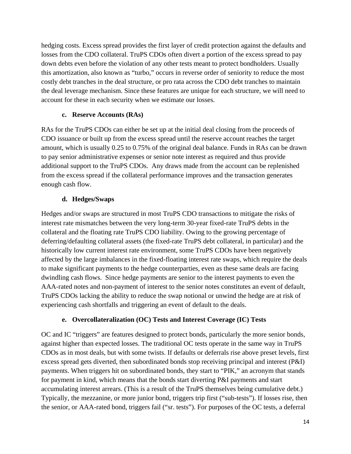hedging costs. Excess spread provides the first layer of credit protection against the defaults and losses from the CDO collateral. TruPS CDOs often divert a portion of the excess spread to pay down debts even before the violation of any other tests meant to protect bondholders. Usually this amortization, also known as "turbo," occurs in reverse order of seniority to reduce the most costly debt tranches in the deal structure, or pro rata across the CDO debt tranches to maintain the deal leverage mechanism. Since these features are unique for each structure, we will need to account for these in each security when we estimate our losses.

### **c. Reserve Accounts (RAs)**

RAs for the TruPS CDOs can either be set up at the initial deal closing from the proceeds of CDO issuance or built up from the excess spread until the reserve account reaches the target amount, which is usually 0.25 to 0.75% of the original deal balance. Funds in RAs can be drawn to pay senior administrative expenses or senior note interest as required and thus provide additional support to the TruPS CDOs. Any draws made from the account can be replenished from the excess spread if the collateral performance improves and the transaction generates enough cash flow.

## **d. Hedges/Swaps**

Hedges and/or swaps are structured in most TruPS CDO transactions to mitigate the risks of interest rate mismatches between the very long-term 30-year fixed-rate TruPS debts in the collateral and the floating rate TruPS CDO liability. Owing to the growing percentage of deferring/defaulting collateral assets (the fixed-rate TruPS debt collateral, in particular) and the historically low current interest rate environment, some TruPS CDOs have been negatively affected by the large imbalances in the fixed-floating interest rate swaps, which require the deals to make significant payments to the hedge counterparties, even as these same deals are facing dwindling cash flows. Since hedge payments are senior to the interest payments to even the AAA-rated notes and non-payment of interest to the senior notes constitutes an event of default, TruPS CDOs lacking the ability to reduce the swap notional or unwind the hedge are at risk of experiencing cash shortfalls and triggering an event of default to the deals.

## **e. Overcollateralization (OC) Tests and Interest Coverage (IC) Tests**

OC and IC "triggers" are features designed to protect bonds, particularly the more senior bonds, against higher than expected losses. The traditional OC tests operate in the same way in TruPS CDOs as in most deals, but with some twists. If defaults or deferrals rise above preset levels, first excess spread gets diverted, then subordinated bonds stop receiving principal and interest (P&I) payments. When triggers hit on subordinated bonds, they start to "PIK," an acronym that stands for payment in kind, which means that the bonds start diverting P&I payments and start accumulating interest arrears. (This is a result of the TruPS themselves being cumulative debt.) Typically, the mezzanine, or more junior bond, triggers trip first ("sub-tests"). If losses rise, then the senior, or AAA-rated bond, triggers fail ("sr. tests"). For purposes of the OC tests, a deferral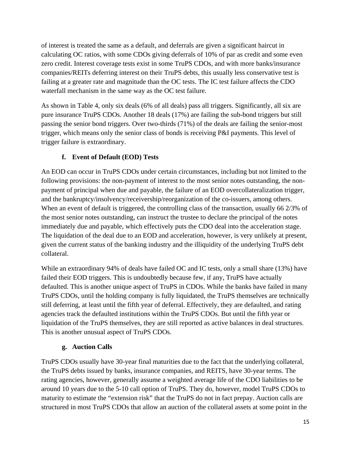of interest is treated the same as a default, and deferrals are given a significant haircut in calculating OC ratios, with some CDOs giving deferrals of 10% of par as credit and some even zero credit. Interest coverage tests exist in some TruPS CDOs, and with more banks/insurance companies/REITs deferring interest on their TruPS debts, this usually less conservative test is failing at a greater rate and magnitude than the OC tests. The IC test failure affects the CDO waterfall mechanism in the same way as the OC test failure.

As shown in Table 4, only six deals (6% of all deals) pass all triggers. Significantly, all six are pure insurance TruPS CDOs. Another 18 deals (17%) are failing the sub-bond triggers but still passing the senior bond triggers. Over two-thirds (71%) of the deals are failing the senior-most trigger, which means only the senior class of bonds is receiving P&I payments. This level of trigger failure is extraordinary.

## **f. Event of Default (EOD) Tests**

An EOD can occur in TruPS CDOs under certain circumstances, including but not limited to the following provisions: the non-payment of interest to the most senior notes outstanding, the nonpayment of principal when due and payable, the failure of an EOD overcollateralization trigger, and the bankruptcy/insolvency/receivership/reorganization of the co-issuers, among others. When an event of default is triggered, the controlling class of the transaction, usually 66 2/3% of the most senior notes outstanding, can instruct the trustee to declare the principal of the notes immediately due and payable, which effectively puts the CDO deal into the acceleration stage. The liquidation of the deal due to an EOD and acceleration, however, is very unlikely at present, given the current status of the banking industry and the illiquidity of the underlying TruPS debt collateral.

While an extraordinary 94% of deals have failed OC and IC tests, only a small share (13%) have failed their EOD triggers. This is undoubtedly because few, if any, TruPS have actually defaulted. This is another unique aspect of TruPS in CDOs. While the banks have failed in many TruPS CDOs, until the holding company is fully liquidated, the TruPS themselves are technically still deferring, at least until the fifth year of deferral. Effectively, they are defaulted, and rating agencies track the defaulted institutions within the TruPS CDOs. But until the fifth year or liquidation of the TruPS themselves, they are still reported as active balances in deal structures. This is another unusual aspect of TruPS CDOs.

## **g. Auction Calls**

TruPS CDOs usually have 30-year final maturities due to the fact that the underlying collateral, the TruPS debts issued by banks, insurance companies, and REITS, have 30-year terms. The rating agencies, however, generally assume a weighted average life of the CDO liabilities to be around 10 years due to the 5-10 call option of TruPS. They do, however, model TruPS CDOs to maturity to estimate the "extension risk" that the TruPS do not in fact prepay. Auction calls are structured in most TruPS CDOs that allow an auction of the collateral assets at some point in the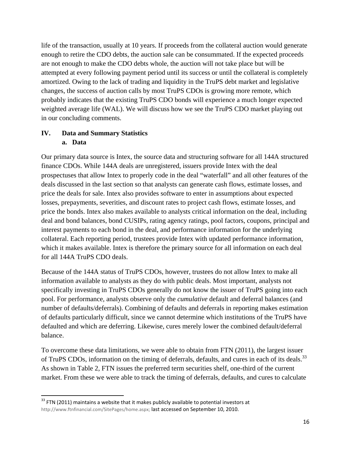life of the transaction, usually at 10 years. If proceeds from the collateral auction would generate enough to retire the CDO debts, the auction sale can be consummated. If the expected proceeds are not enough to make the CDO debts whole, the auction will not take place but will be attempted at every following payment period until its success or until the collateral is completely amortized. Owing to the lack of trading and liquidity in the TruPS debt market and legislative changes, the success of auction calls by most TruPS CDOs is growing more remote, which probably indicates that the existing TruPS CDO bonds will experience a much longer expected weighted average life (WAL). We will discuss how we see the TruPS CDO market playing out in our concluding comments.

## **IV. Data and Summary Statistics a. Data**

Our primary data source is Intex, the source data and structuring software for all 144A structured finance CDOs. While 144A deals are unregistered, issuers provide Intex with the deal prospectuses that allow Intex to properly code in the deal "waterfall" and all other features of the deals discussed in the last section so that analysts can generate cash flows, estimate losses, and price the deals for sale. Intex also provides software to enter in assumptions about expected losses, prepayments, severities, and discount rates to project cash flows, estimate losses, and price the bonds. Intex also makes available to analysts critical information on the deal, including deal and bond balances, bond CUSIPs, rating agency ratings, pool factors, coupons, principal and interest payments to each bond in the deal, and performance information for the underlying collateral. Each reporting period, trustees provide Intex with updated performance information, which it makes available. Intex is therefore the primary source for all information on each deal for all 144A TruPS CDO deals.

Because of the 144A status of TruPS CDOs, however, trustees do not allow Intex to make all information available to analysts as they do with public deals. Most important, analysts not specifically investing in TruPS CDOs generally do not know the issuer of TruPS going into each pool. For performance, analysts observe only the *cumulative* default and deferral balances (and number of defaults/deferrals). Combining of defaults and deferrals in reporting makes estimation of defaults particularly difficult, since we cannot determine which institutions of the TruPS have defaulted and which are deferring. Likewise, cures merely lower the combined default/deferral balance.

To overcome these data limitations, we were able to obtain from FTN (2011), the largest issuer of TruPS CDOs, information on the timing of deferrals, defaults, and cures in each of its deals.<sup>33</sup> As shown in Table 2, FTN issues the preferred term securities shelf, one-third of the current market. From these we were able to track the timing of deferrals, defaults, and cures to calculate

  $33$  FTN (2011) maintains a website that it makes publicly available to potential investors at http://www.ftnfinancial.com/SitePages/home.aspx; last accessed on September 10, 2010.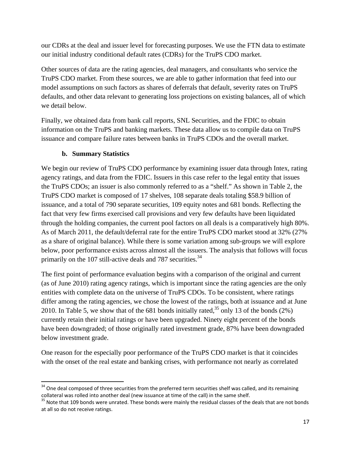our CDRs at the deal and issuer level for forecasting purposes. We use the FTN data to estimate our initial industry conditional default rates (CDRs) for the TruPS CDO market.

Other sources of data are the rating agencies, deal managers, and consultants who service the TruPS CDO market. From these sources, we are able to gather information that feed into our model assumptions on such factors as shares of deferrals that default, severity rates on TruPS defaults, and other data relevant to generating loss projections on existing balances, all of which we detail below.

Finally, we obtained data from bank call reports, SNL Securities, and the FDIC to obtain information on the TruPS and banking markets. These data allow us to compile data on TruPS issuance and compare failure rates between banks in TruPS CDOs and the overall market.

## **b. Summary Statistics**

We begin our review of TruPS CDO performance by examining issuer data through Intex, rating agency ratings, and data from the FDIC. Issuers in this case refer to the legal entity that issues the TruPS CDOs; an issuer is also commonly referred to as a "shelf." As shown in Table 2, the TruPS CDO market is composed of 17 shelves, 108 separate deals totaling \$58.9 billion of issuance, and a total of 790 separate securities, 109 equity notes and 681 bonds. Reflecting the fact that very few firms exercised call provisions and very few defaults have been liquidated through the holding companies, the current pool factors on all deals is a comparatively high 80%. As of March 2011, the default/deferral rate for the entire TruPS CDO market stood at 32% (27% as a share of original balance). While there is some variation among sub-groups we will explore below, poor performance exists across almost all the issuers. The analysis that follows will focus primarily on the 107 still-active deals and 787 securities. $34$ 

The first point of performance evaluation begins with a comparison of the original and current (as of June 2010) rating agency ratings, which is important since the rating agencies are the only entities with complete data on the universe of TruPS CDOs. To be consistent, where ratings differ among the rating agencies, we chose the lowest of the ratings, both at issuance and at June 2010. In Table 5, we show that of the 681 bonds initially rated,<sup>35</sup> only 13 of the bonds (2%) currently retain their initial ratings or have been upgraded. Ninety eight percent of the bonds have been downgraded; of those originally rated investment grade, 87% have been downgraded below investment grade.

One reason for the especially poor performance of the TruPS CDO market is that it coincides with the onset of the real estate and banking crises, with performance not nearly as correlated

<sup>&</sup>lt;sup>34</sup> One deal composed of three securities from the preferred term securities shelf was called, and its remaining collateral was rolled into another deal (new issuance at time of the call) in the same shelf.<br><sup>35</sup> Note that 109 bonds were unrated. These bonds were mainly the residual classes of the deals that are not bonds

at all so do not receive ratings.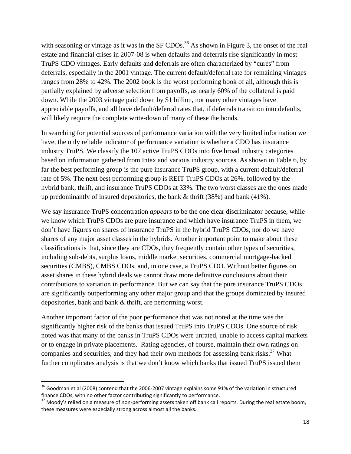with seasoning or vintage as it was in the SF CDOs.<sup>36</sup> As shown in Figure 3, the onset of the real estate and financial crises in 2007-08 is when defaults and deferrals rise significantly in most TruPS CDO vintages. Early defaults and deferrals are often characterized by "cures" from deferrals, especially in the 2001 vintage. The current default/deferral rate for remaining vintages ranges from 28% to 42%. The 2002 book is the worst performing book of all, although this is partially explained by adverse selection from payoffs, as nearly 60% of the collateral is paid down. While the 2003 vintage paid down by \$1 billion, not many other vintages have appreciable payoffs, and all have default/deferral rates that, if deferrals transition into defaults, will likely require the complete write-down of many of these the bonds.

In searching for potential sources of performance variation with the very limited information we have, the only reliable indicator of performance variation is whether a CDO has insurance industry TruPS. We classify the 107 active TruPS CDOs into five broad industry categories based on information gathered from Intex and various industry sources. As shown in Table 6, by far the best performing group is the pure insurance TruPS group, with a current default/deferral rate of 5%. The next best performing group is REIT TruPS CDOs at 26%, followed by the hybrid bank, thrift, and insurance TruPS CDOs at 33%. The two worst classes are the ones made up predominantly of insured depositories, the bank & thrift (38%) and bank (41%).

We say insurance TruPS concentration *appears* to be the one clear discriminator because, while we know which TruPS CDOs are pure insurance and which have insurance TruPS in them, we don't have figures on shares of insurance TruPS in the hybrid TruPS CDOs, nor do we have shares of any major asset classes in the hybrids. Another important point to make about these classifications is that, since they are CDOs, they frequently contain other types of securities, including sub-debts, surplus loans, middle market securities, commercial mortgage-backed securities (CMBS), CMBS CDOs, and, in one case, a TruPS CDO. Without better figures on asset shares in these hybrid deals we cannot draw more definitive conclusions about their contributions to variation in performance. But we can say that the pure insurance TruPS CDOs are significantly outperforming any other major group and that the groups dominated by insured depositories, bank and bank & thrift, are performing worst.

Another important factor of the poor performance that was not noted at the time was the significantly higher risk of the banks that issued TruPS into TruPS CDOs. One source of risk noted was that many of the banks in TruPS CDOs were unrated, unable to access capital markets or to engage in private placements. Rating agencies, of course, maintain their own ratings on companies and securities, and they had their own methods for assessing bank risks.<sup>37</sup> What further complicates analysis is that we don't know which banks that issued TruPS issued them

 $^{36}$  Goodman et al (2008) contend that the 2006-2007 vintage explains some 91% of the variation in structured finance CDOs, with no other factor contributing significantly to performance.<br><sup>37</sup> Moody's relied on a measure of non-performing assets taken off bank call reports. During the real estate boom,

these measures were especially strong across almost all the banks.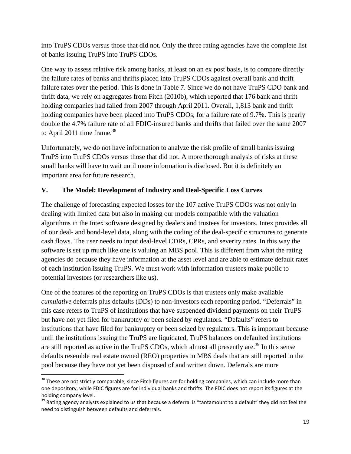into TruPS CDOs versus those that did not. Only the three rating agencies have the complete list of banks issuing TruPS into TruPS CDOs.

One way to assess relative risk among banks, at least on an ex post basis, is to compare directly the failure rates of banks and thrifts placed into TruPS CDOs against overall bank and thrift failure rates over the period. This is done in Table 7. Since we do not have TruPS CDO bank and thrift data, we rely on aggregates from Fitch (2010b), which reported that 176 bank and thrift holding companies had failed from 2007 through April 2011. Overall, 1,813 bank and thrift holding companies have been placed into TruPS CDOs, for a failure rate of 9.7%. This is nearly double the 4.7% failure rate of all FDIC-insured banks and thrifts that failed over the same 2007 to April 2011 time frame. $38$ 

Unfortunately, we do not have information to analyze the risk profile of small banks issuing TruPS into TruPS CDOs versus those that did not. A more thorough analysis of risks at these small banks will have to wait until more information is disclosed. But it is definitely an important area for future research.

## **V. The Model: Development of Industry and Deal-Specific Loss Curves**

The challenge of forecasting expected losses for the 107 active TruPS CDOs was not only in dealing with limited data but also in making our models compatible with the valuation algorithms in the Intex software designed by dealers and trustees for investors. Intex provides all of our deal- and bond-level data, along with the coding of the deal-specific structures to generate cash flows. The user needs to input deal-level CDRs, CPRs, and severity rates. In this way the software is set up much like one is valuing an MBS pool. This is different from what the rating agencies do because they have information at the asset level and are able to estimate default rates of each institution issuing TruPS. We must work with information trustees make public to potential investors (or researchers like us).

One of the features of the reporting on TruPS CDOs is that trustees only make available *cumulative* deferrals plus defaults (DDs) to non-investors each reporting period. "Deferrals" in this case refers to TruPS of institutions that have suspended dividend payments on their TruPS but have not yet filed for bankruptcy or been seized by regulators. "Defaults" refers to institutions that have filed for bankruptcy or been seized by regulators. This is important because until the institutions issuing the TruPS are liquidated, TruPS balances on defaulted institutions are still reported as active in the TruPS CDOs, which almost all presently are.<sup>39</sup> In this sense defaults resemble real estate owned (REO) properties in MBS deals that are still reported in the pool because they have not yet been disposed of and written down. Deferrals are more

 <sup>38</sup> These are not strictly comparable, since Fitch figures are for holding companies, which can include more than one depository, while FDIC figures are for individual banks and thrifts. The FDIC does not report its figures at the holding company level.<br><sup>39</sup> Rating agency analysts explained to us that because a deferral is "tantamount to a default" they did not feel the

need to distinguish between defaults and deferrals.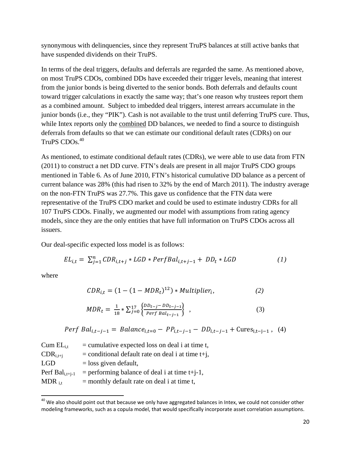synonymous with delinquencies, since they represent TruPS balances at still active banks that have suspended dividends on their TruPS.

In terms of the deal triggers, defaults and deferrals are regarded the same. As mentioned above, on most TruPS CDOs, combined DDs have exceeded their trigger levels, meaning that interest from the junior bonds is being diverted to the senior bonds. Both deferrals and defaults count toward trigger calculations in exactly the same way; that's one reason why trustees report them as a combined amount. Subject to imbedded deal triggers, interest arrears accumulate in the junior bonds (i.e., they "PIK"). Cash is not available to the trust until deferring TruPS cure. Thus, while Intex reports only the combined DD balances, we needed to find a source to distinguish deferrals from defaults so that we can estimate our conditional default rates (CDRs) on our TruPS CDOs.<sup>40</sup>

As mentioned, to estimate conditional default rates (CDRs), we were able to use data from FTN (2011) to construct a net DD curve. FTN's deals are present in all major TruPS CDO groups mentioned in Table 6. As of June 2010, FTN's historical cumulative DD balance as a percent of current balance was 28% (this had risen to 32% by the end of March 2011). The industry average on the non-FTN TruPS was 27.7%. This gave us confidence that the FTN data were representative of the TruPS CDO market and could be used to estimate industry CDRs for all 107 TruPS CDOs. Finally, we augmented our model with assumptions from rating agency models, since they are the only entities that have full information on TruPS CDOs across all issuers.

Our deal-specific expected loss model is as follows:

$$
EL_{i,t} = \sum_{j=1}^{n} CDR_{i,t+j} * LGD * PerfBal_{i,t+j-1} + DD_t * LGD \qquad (1)
$$

where

$$
CDR_{i,t} = (1 - (1 - MDR_t)^{12}) * Multiplier_i,
$$
\n(2)

$$
MDR_t = \frac{1}{18} * \sum_{j=0}^{17} \left\{ \frac{DD_{t-j} - DD_{t-j-1}}{Perf Bal_{t-j-1}} \right\} , \qquad (3)
$$

$$
Perf\, Bal_{i,t-j-1} = \, Balance_{i,t=0} - PP_{i,t-j-1} - DD_{i,t-j-1} + Cures_{i,t-j-1} \,, \tag{4}
$$

| $Cum$ $EL_{i,t}$     | $=$ cumulative expected loss on deal i at time t,   |
|----------------------|-----------------------------------------------------|
| $CDR_{i,t+i}$        | $=$ conditional default rate on deal i at time t+j, |
| <b>LGD</b>           | $=$ loss given default,                             |
| Perf $Bal_{i,t+i-1}$ | = performing balance of deal i at time $t+j-1$ ,    |
| $MDR_{i.t}$          | $=$ monthly default rate on deal i at time t,       |

 $^{40}$  We also should point out that because we only have aggregated balances in Intex, we could not consider other modeling frameworks, such as a copula model, that would specifically incorporate asset correlation assumptions.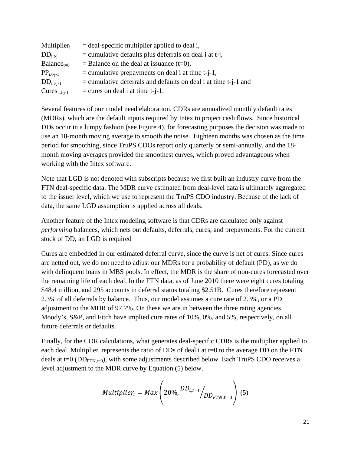| $Multiplier_i$     | $=$ deal-specific multiplier applied to deal i,                   |
|--------------------|-------------------------------------------------------------------|
| $DD_{i,t-i}$       | $=$ cumulative defaults plus deferrals on deal i at t-j,          |
| $Balance_{t=0}$    | $=$ Balance on the deal at issuance (t=0),                        |
| $PP_{i,t-i-1}$     | $=$ cumulative prepayments on deal i at time t-j-1,               |
| $DD_{i,t-i-1}$     | $=$ cumulative deferrals and defaults on deal i at time t-j-1 and |
| Cures $_{i,t-i-1}$ | $=$ cures on deal i at time t-j-1.                                |

Several features of our model need elaboration. CDRs are annualized monthly default rates (MDRs), which are the default inputs required by Intex to project cash flows. Since historical DDs occur in a lumpy fashion (see Figure 4), for forecasting purposes the decision was made to use an 18-month moving average to smooth the noise. Eighteen months was chosen as the time period for smoothing, since TruPS CDOs report only quarterly or semi-annually, and the 18 month moving averages provided the smoothest curves, which proved advantageous when working with the Intex software.

Note that LGD is not denoted with subscripts because we first built an industry curve from the FTN deal-specific data. The MDR curve estimated from deal-level data is ultimately aggregated to the issuer level, which we use to represent the TruPS CDO industry. Because of the lack of data, the same LGD assumption is applied across all deals.

Another feature of the Intex modeling software is that CDRs are calculated only against *performing* balances, which nets out defaults, deferrals, cures, and prepayments. For the current stock of DD, an LGD is required

Cures are embedded in our estimated deferral curve, since the curve is net of cures. Since cures are netted out, we do not need to adjust our MDRs for a probability of default (PD), as we do with delinquent loans in MBS pools. In effect, the MDR is the share of non-cures forecasted over the remaining life of each deal. In the FTN data, as of June 2010 there were eight cures totaling \$48.4 million, and 295 accounts in deferral status totaling \$2.51B. Cures therefore represent 2.3% of all deferrals by balance. Thus, our model assumes a cure rate of 2.3%, or a PD adjustment to the MDR of 97.7%. On these we are in between the three rating agencies. Moody's, S&P, and Fitch have implied cure rates of 10%, 0%, and 5%, respectively, on all future deferrals or defaults.

Finally, for the CDR calculations, what generates deal-specific CDRs is the multiplier applied to each deal. Multiplier represents the ratio of DDs of deal i at  $t=0$  to the average DD on the FTN deals at t=0 ( $DD_{FTN,t=0}$ ), with some adjustments described below. Each TruPS CDO receives a level adjustment to the MDR curve by Equation (5) below.

$$
Multiplier_i = Max \left( 20\%, DD_{i,t=0} / DD_{FTN,t=0} \right) (5)
$$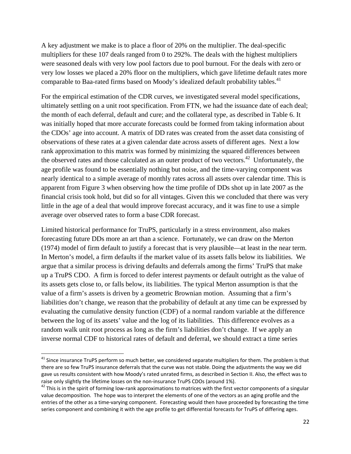A key adjustment we make is to place a floor of 20% on the multiplier. The deal-specific multipliers for these 107 deals ranged from 0 to 292%. The deals with the highest multipliers were seasoned deals with very low pool factors due to pool burnout. For the deals with zero or very low losses we placed a 20% floor on the multipliers, which gave lifetime default rates more comparable to Baa-rated firms based on Moody's idealized default probability tables.<sup>41</sup>

For the empirical estimation of the CDR curves, we investigated several model specifications, ultimately settling on a unit root specification. From FTN, we had the issuance date of each deal; the month of each deferral, default and cure; and the collateral type, as described in Table 6. It was initially hoped that more accurate forecasts could be formed from taking information about the CDOs' age into account. A matrix of DD rates was created from the asset data consisting of observations of these rates at a given calendar date across assets of different ages. Next a low rank approximation to this matrix was formed by minimizing the squared differences between the observed rates and those calculated as an outer product of two vectors.<sup>42</sup> Unfortunately, the age profile was found to be essentially nothing but noise, and the time-varying component was nearly identical to a simple average of monthly rates across all assets over calendar time. This is apparent from Figure 3 when observing how the time profile of DDs shot up in late 2007 as the financial crisis took hold, but did so for all vintages. Given this we concluded that there was very little in the age of a deal that would improve forecast accuracy, and it was fine to use a simple average over observed rates to form a base CDR forecast.

Limited historical performance for TruPS, particularly in a stress environment, also makes forecasting future DDs more an art than a science. Fortunately, we can draw on the Merton (1974) model of firm default to justify a forecast that is very plausible—at least in the near term. In Merton's model, a firm defaults if the market value of its assets falls below its liabilities. We argue that a similar process is driving defaults and deferrals among the firms' TruPS that make up a TruPS CDO. A firm is forced to defer interest payments or default outright as the value of its assets gets close to, or falls below, its liabilities. The typical Merton assumption is that the value of a firm's assets is driven by a geometric Brownian motion. Assuming that a firm's liabilities don't change, we reason that the probability of default at any time can be expressed by evaluating the cumulative density function (CDF) of a normal random variable at the difference between the log of its assets' value and the log of its liabilities. This difference evolves as a random walk unit root process as long as the firm's liabilities don't change. If we apply an inverse normal CDF to historical rates of default and deferral, we should extract a time series

 $^{41}$  Since insurance TruPS perform so much better, we considered separate multipliers for them. The problem is that there are so few TruPS insurance deferrals that the curve was not stable. Doing the adjustments the way we did gave us results consistent with how Moody's rated unrated firms, as described in Section II. Also, the effect was to raise only slightly the lifetime losses on the non-insurance TruPS CDOs (around 1%).<br><sup>42</sup> This is in the spirit of forming low-rank approximations to matrices with the first vector components of a singular

value decomposition. The hope was to interpret the elements of one of the vectors as an aging profile and the entries of the other as a time-varying component. Forecasting would then have proceeded by forecasting the time series component and combining it with the age profile to get differential forecasts for TruPS of differing ages.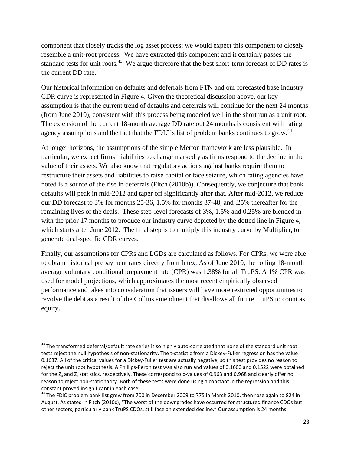component that closely tracks the log asset process; we would expect this component to closely resemble a unit-root process. We have extracted this component and it certainly passes the standard tests for unit roots.<sup>43</sup> We argue therefore that the best short-term forecast of DD rates is the current DD rate.

Our historical information on defaults and deferrals from FTN and our forecasted base industry CDR curve is represented in Figure 4. Given the theoretical discussion above, our key assumption is that the current trend of defaults and deferrals will continue for the next 24 months (from June 2010), consistent with this process being modeled well in the short run as a unit root. The extension of the current 18-month average DD rate out 24 months is consistent with rating agency assumptions and the fact that the FDIC's list of problem banks continues to grow.<sup>44</sup>

At longer horizons, the assumptions of the simple Merton framework are less plausible. In particular, we expect firms' liabilities to change markedly as firms respond to the decline in the value of their assets. We also know that regulatory actions against banks require them to restructure their assets and liabilities to raise capital or face seizure, which rating agencies have noted is a source of the rise in deferrals (Fitch (2010b)). Consequently, we conjecture that bank defaults will peak in mid-2012 and taper off significantly after that. After mid-2012, we reduce our DD forecast to 3% for months 25-36, 1.5% for months 37-48, and .25% thereafter for the remaining lives of the deals. These step-level forecasts of 3%, 1.5% and 0.25% are blended in with the prior 17 months to produce our industry curve depicted by the dotted line in Figure 4, which starts after June 2012. The final step is to multiply this industry curve by Multiplier to generate deal-specific CDR curves.

Finally, our assumptions for CPRs and LGDs are calculated as follows. For CPRs, we were able to obtain historical prepayment rates directly from Intex. As of June 2010, the rolling 18-month average voluntary conditional prepayment rate (CPR) was 1.38% for all TruPS. A 1% CPR was used for model projections, which approximates the most recent empirically observed performance and takes into consideration that issuers will have more restricted opportunities to revolve the debt as a result of the Collins amendment that disallows all future TruPS to count as equity.

<sup>&</sup>lt;sup>43</sup> The transformed deferral/default rate series is so highly auto-correlated that none of the standard unit root tests reject the null hypothesis of non-stationarity. The t-statistic from a Dickey-Fuller regression has the value 0.1637. All of the critical values for a Dickey-Fuller test are actually negative, so this test provides no reason to reject the unit root hypothesis. A Phillips-Peron test was also run and values of 0.1600 and 0.1522 were obtained for the  $Z_a$  and  $Z_t$  statistics, respectively. These correspond to p-values of 0.963 and 0.968 and clearly offer no reason to reject non‐stationarity. Both of these tests were done using a constant in the regression and this

constant proved insignificant in each case.<br><sup>44</sup> The FDIC problem bank list grew from 700 in December 2009 to 775 in March 2010, then rose again to 824 in August. As stated in Fitch (2010c), "The worst of the downgrades have occurred for structured finance CDOs but other sectors, particularly bank TruPS CDOs, still face an extended decline." Our assumption is 24 months.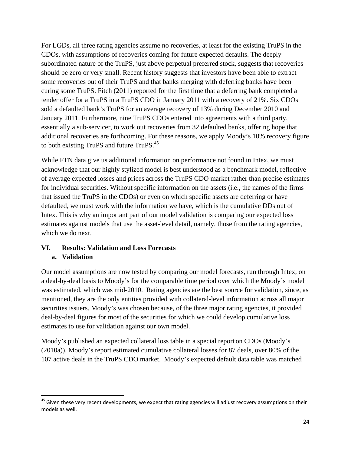For LGDs, all three rating agencies assume no recoveries, at least for the existing TruPS in the CDOs, with assumptions of recoveries coming for future expected defaults. The deeply subordinated nature of the TruPS, just above perpetual preferred stock, suggests that recoveries should be zero or very small. Recent history suggests that investors have been able to extract some recoveries out of their TruPS and that banks merging with deferring banks have been curing some TruPS. Fitch (2011) reported for the first time that a deferring bank completed a tender offer for a TruPS in a TruPS CDO in January 2011 with a recovery of 21%. Six CDOs sold a defaulted bank's TruPS for an average recovery of 13% during December 2010 and January 2011. Furthermore, nine TruPS CDOs entered into agreements with a third party, essentially a sub-servicer, to work out recoveries from 32 defaulted banks, offering hope that additional recoveries are forthcoming. For these reasons, we apply Moody's 10% recovery figure to both existing TruPS and future TruPS.<sup>45</sup>

While FTN data give us additional information on performance not found in Intex, we must acknowledge that our highly stylized model is best understood as a benchmark model, reflective of average expected losses and prices across the TruPS CDO market rather than precise estimates for individual securities. Without specific information on the assets (i.e., the names of the firms that issued the TruPS in the CDOs) or even on which specific assets are deferring or have defaulted, we must work with the information we have, which is the cumulative DDs out of Intex. This is why an important part of our model validation is comparing our expected loss estimates against models that use the asset-level detail, namely, those from the rating agencies, which we do next.

## **VI. Results: Validation and Loss Forecasts a. Validation**

Our model assumptions are now tested by comparing our model forecasts, run through Intex, on a deal-by-deal basis to Moody's for the comparable time period over which the Moody's model was estimated, which was mid-2010. Rating agencies are the best source for validation, since, as mentioned, they are the only entities provided with collateral-level information across all major securities issuers. Moody's was chosen because, of the three major rating agencies, it provided deal-by-deal figures for most of the securities for which we could develop cumulative loss estimates to use for validation against our own model.

Moody's published an expected collateral loss table in a special report on CDOs (Moody's (2010a)). Moody's report estimated cumulative collateral losses for 87 deals, over 80% of the 107 active deals in the TruPS CDO market. Moody's expected default data table was matched

 <sup>45</sup> Given these very recent developments, we expect that rating agencies will adjust recovery assumptions on their models as well.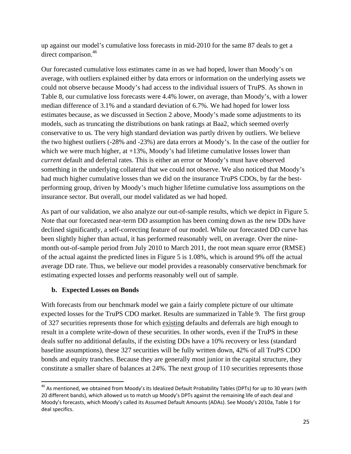up against our model's cumulative loss forecasts in mid-2010 for the same 87 deals to get a direct comparison.<sup>46</sup>

Our forecasted cumulative loss estimates came in as we had hoped, lower than Moody's on average, with outliers explained either by data errors or information on the underlying assets we could not observe because Moody's had access to the individual issuers of TruPS. As shown in Table 8, our cumulative loss forecasts were 4.4% lower, on average, than Moody's, with a lower median difference of 3.1% and a standard deviation of 6.7%. We had hoped for lower loss estimates because, as we discussed in Section 2 above, Moody's made some adjustments to its models, such as truncating the distributions on bank ratings at Baa2, which seemed overly conservative to us. The very high standard deviation was partly driven by outliers. We believe the two highest outliers (-28% and -23%) are data errors at Moody's. In the case of the outlier for which we were much higher, at  $+13\%$ , Moody's had lifetime cumulative losses lower than *current* default and deferral rates. This is either an error or Moody's must have observed something in the underlying collateral that we could not observe. We also noticed that Moody's had much higher cumulative losses than we did on the insurance TruPS CDOs, by far the bestperforming group, driven by Moody's much higher lifetime cumulative loss assumptions on the insurance sector. But overall, our model validated as we had hoped.

As part of our validation, we also analyze our out-of-sample results, which we depict in Figure 5. Note that our forecasted near-term DD assumption has been coming down as the new DDs have declined significantly, a self-correcting feature of our model. While our forecasted DD curve has been slightly higher than actual, it has performed reasonably well, on average. Over the ninemonth out-of-sample period from July 2010 to March 2011, the root mean square error (RMSE) of the actual against the predicted lines in Figure 5 is 1.08%, which is around 9% off the actual average DD rate. Thus, we believe our model provides a reasonably conservative benchmark for estimating expected losses and performs reasonably well out of sample.

#### **b. Expected Losses on Bonds**

With forecasts from our benchmark model we gain a fairly complete picture of our ultimate expected losses for the TruPS CDO market. Results are summarized in Table 9. The first group of 327 securities represents those for which existing defaults and deferrals are high enough to result in a complete write-down of these securities. In other words, even if the TruPS in these deals suffer no additional defaults, if the existing DDs have a 10% recovery or less (standard baseline assumptions), these 327 securities will be fully written down, 42% of all TruPS CDO bonds and equity tranches. Because they are generally most junior in the capital structure, they constitute a smaller share of balances at 24%. The next group of 110 securities represents those

<sup>&</sup>lt;sup>46</sup> As mentioned, we obtained from Moody's its Idealized Default Probability Tables (DPTs) for up to 30 years (with 20 different bands), which allowed us to match up Moody's DPTs against the remaining life of each deal and Moody's forecasts, which Moody's called its Assumed Default Amounts (ADAs). See Moody's 2010a, Table 1 for deal specifics.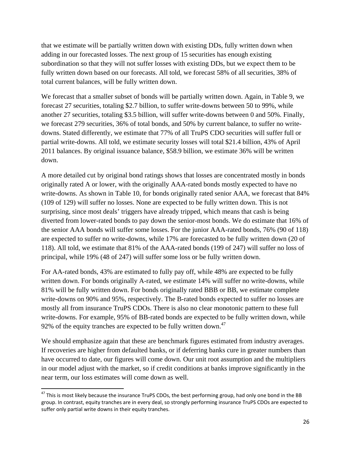that we estimate will be partially written down with existing DDs, fully written down when adding in our forecasted losses. The next group of 15 securities has enough existing subordination so that they will not suffer losses with existing DDs, but we expect them to be fully written down based on our forecasts. All told, we forecast 58% of all securities, 38% of total current balances, will be fully written down.

We forecast that a smaller subset of bonds will be partially written down. Again, in Table 9, we forecast 27 securities, totaling \$2.7 billion, to suffer write-downs between 50 to 99%, while another 27 securities, totaling \$3.5 billion, will suffer write-downs between 0 and 50%. Finally, we forecast 279 securities, 36% of total bonds, and 50% by current balance, to suffer no writedowns. Stated differently, we estimate that 77% of all TruPS CDO securities will suffer full or partial write-downs. All told, we estimate security losses will total \$21.4 billion, 43% of April 2011 balances. By original issuance balance, \$58.9 billion, we estimate 36% will be written down.

A more detailed cut by original bond ratings shows that losses are concentrated mostly in bonds originally rated A or lower, with the originally AAA-rated bonds mostly expected to have no write-downs. As shown in Table 10, for bonds originally rated senior AAA, we forecast that 84% (109 of 129) will suffer no losses. None are expected to be fully written down. This is not surprising, since most deals' triggers have already tripped, which means that cash is being diverted from lower-rated bonds to pay down the senior-most bonds. We do estimate that 16% of the senior AAA bonds will suffer some losses. For the junior AAA-rated bonds, 76% (90 of 118) are expected to suffer no write-downs, while 17% are forecasted to be fully written down (20 of 118). All told, we estimate that 81% of the AAA-rated bonds (199 of 247) will suffer no loss of principal, while 19% (48 of 247) will suffer some loss or be fully written down.

For AA-rated bonds, 43% are estimated to fully pay off, while 48% are expected to be fully written down. For bonds originally A-rated, we estimate 14% will suffer no write-downs, while 81% will be fully written down. For bonds originally rated BBB or BB, we estimate complete write-downs on 90% and 95%, respectively. The B-rated bonds expected to suffer no losses are mostly all from insurance TruPS CDOs. There is also no clear monotonic pattern to these full write-downs. For example, 95% of BB-rated bonds are expected to be fully written down, while 92% of the equity tranches are expected to be fully written down.<sup>47</sup>

We should emphasize again that these are benchmark figures estimated from industry averages. If recoveries are higher from defaulted banks, or if deferring banks cure in greater numbers than have occurred to date, our figures will come down. Our unit root assumption and the multipliers in our model adjust with the market, so if credit conditions at banks improve significantly in the near term, our loss estimates will come down as well.

<sup>&</sup>lt;sup>47</sup> This is most likely because the insurance TruPS CDOs, the best performing group, had only one bond in the BB group. In contrast, equity tranches are in every deal, so strongly performing insurance TruPS CDOs are expected to suffer only partial write downs in their equity tranches.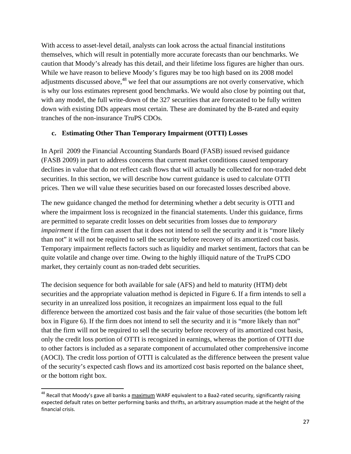With access to asset-level detail, analysts can look across the actual financial institutions themselves, which will result in potentially more accurate forecasts than our benchmarks. We caution that Moody's already has this detail, and their lifetime loss figures are higher than ours. While we have reason to believe Moody's figures may be too high based on its 2008 model adjustments discussed above,<sup>48</sup> we feel that our assumptions are not overly conservative, which is why our loss estimates represent good benchmarks. We would also close by pointing out that, with any model, the full write-down of the 327 securities that are forecasted to be fully written down with existing DDs appears most certain. These are dominated by the B-rated and equity tranches of the non-insurance TruPS CDOs.

#### **c. Estimating Other Than Temporary Impairment (OTTI) Losses**

In April 2009 the Financial Accounting Standards Board (FASB) issued revised guidance (FASB 2009) in part to address concerns that current market conditions caused temporary declines in value that do not reflect cash flows that will actually be collected for non-traded debt securities. In this section, we will describe how current guidance is used to calculate OTTI prices. Then we will value these securities based on our forecasted losses described above.

The new guidance changed the method for determining whether a debt security is OTTI and where the impairment loss is recognized in the financial statements. Under this guidance, firms are permitted to separate credit losses on debt securities from losses due to *temporary impairment* if the firm can assert that it does not intend to sell the security and it is "more likely" than not" it will not be required to sell the security before recovery of its amortized cost basis. Temporary impairment reflects factors such as liquidity and market sentiment, factors that can be quite volatile and change over time. Owing to the highly illiquid nature of the TruPS CDO market, they certainly count as non-traded debt securities.

The decision sequence for both available for sale (AFS) and held to maturity (HTM) debt securities and the appropriate valuation method is depicted in Figure 6. If a firm intends to sell a security in an unrealized loss position, it recognizes an impairment loss equal to the full difference between the amortized cost basis and the fair value of those securities (the bottom left box in Figure 6). If the firm does not intend to sell the security and it is "more likely than not" that the firm will not be required to sell the security before recovery of its amortized cost basis, only the credit loss portion of OTTI is recognized in earnings, whereas the portion of OTTI due to other factors is included as a separate component of accumulated other comprehensive income (AOCI). The credit loss portion of OTTI is calculated as the difference between the present value of the security's expected cash flows and its amortized cost basis reported on the balance sheet, or the bottom right box.

<sup>&</sup>lt;sup>48</sup> Recall that Moody's gave all banks a <u>maximum</u> WARF equivalent to a Baa2-rated security, significantly raising expected default rates on better performing banks and thrifts, an arbitrary assumption made at the height of the financial crisis.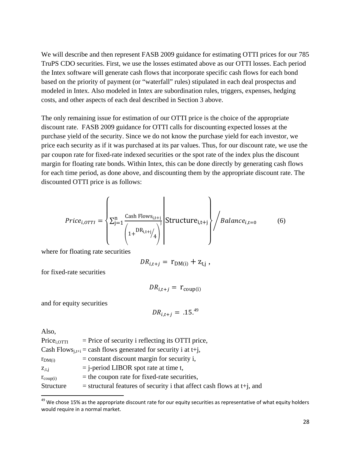We will describe and then represent FASB 2009 guidance for estimating OTTI prices for our 785 TruPS CDO securities. First, we use the losses estimated above as our OTTI losses. Each period the Intex software will generate cash flows that incorporate specific cash flows for each bond based on the priority of payment (or "waterfall" rules) stipulated in each deal prospectus and modeled in Intex. Also modeled in Intex are subordination rules, triggers, expenses, hedging costs, and other aspects of each deal described in Section 3 above.

The only remaining issue for estimation of our OTTI price is the choice of the appropriate discount rate. FASB 2009 guidance for OTTI calls for discounting expected losses at the purchase yield of the security. Since we do not know the purchase yield for each investor, we price each security as if it was purchased at its par values. Thus, for our discount rate, we use the par coupon rate for fixed-rate indexed securities or the spot rate of the index plus the discount margin for floating rate bonds. Within Intex, this can be done directly by generating cash flows for each time period, as done above, and discounting them by the appropriate discount rate. The discounted OTTI price is as follows:

$$
Price_{i,OTTI} = \left\{ \sum_{j=1}^{n} \frac{Cash \text{ Flows}_{i,t+j}}{\left(1 + \frac{\text{DR}_{i,t+j}}{4}\right)} \right\} \text{Structure}_{i,t+j} \left\{ \frac{\text{Balance}_{i,t=0}}{\text{Balance}_{i,t=0}} \right\} \tag{6}
$$

where for floating rate securities

$$
DR_{i,t+j} = r_{DM(i)} + z_{t,j},
$$

for fixed-rate securities

$$
DR_{i,t+j} = r_{\text{coup}(i)}
$$

and for equity securities

$$
DR_{i,t+j} = .15.^{49}
$$

Also,

 $Price<sub>i.OTT</sub>$  = Price of security i reflecting its OTTI price, Cash Flows<sub>i,t+i</sub> = cash flows generated for security i at t+j,  $r_{DM(i)}$  = constant discount margin for security i,  $z_{,t,i}$  = j-period LIBOR spot rate at time t,  $r_{\text{coup}(i)}$  = the coupon rate for fixed-rate securities, Structure  $=$  structural features of security i that affect cash flows at t+j, and

 $^{49}$  We chose 15% as the appropriate discount rate for our equity securities as representative of what equity holders would require in a normal market.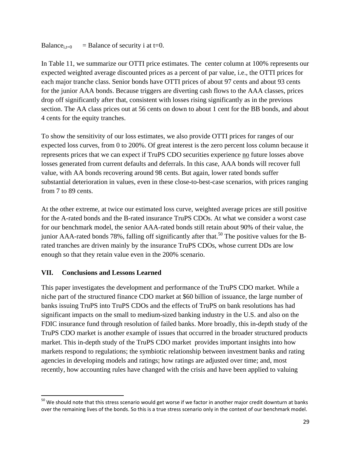Balance<sub>i.t=0</sub> = Balance of security i at t=0.

In Table 11, we summarize our OTTI price estimates. The center column at 100% represents our expected weighted average discounted prices as a percent of par value, i.e., the OTTI prices for each major tranche class. Senior bonds have OTTI prices of about 97 cents and about 93 cents for the junior AAA bonds. Because triggers are diverting cash flows to the AAA classes, prices drop off significantly after that, consistent with losses rising significantly as in the previous section. The AA class prices out at 56 cents on down to about 1 cent for the BB bonds, and about 4 cents for the equity tranches.

To show the sensitivity of our loss estimates, we also provide OTTI prices for ranges of our expected loss curves, from 0 to 200%. Of great interest is the zero percent loss column because it represents prices that we can expect if TruPS CDO securities experience no future losses above losses generated from current defaults and deferrals. In this case, AAA bonds will recover full value, with AA bonds recovering around 98 cents. But again, lower rated bonds suffer substantial deterioration in values, even in these close-to-best-case scenarios, with prices ranging from 7 to 89 cents.

At the other extreme, at twice our estimated loss curve, weighted average prices are still positive for the A-rated bonds and the B-rated insurance TruPS CDOs. At what we consider a worst case for our benchmark model, the senior AAA-rated bonds still retain about 90% of their value, the junior AAA-rated bonds 78%, falling off significantly after that.<sup>50</sup> The positive values for the Brated tranches are driven mainly by the insurance TruPS CDOs, whose current DDs are low enough so that they retain value even in the 200% scenario.

#### **VII. Conclusions and Lessons Learned**

This paper investigates the development and performance of the TruPS CDO market. While a niche part of the structured finance CDO market at \$60 billion of issuance, the large number of banks issuing TruPS into TruPS CDOs and the effects of TruPS on bank resolutions has had significant impacts on the small to medium-sized banking industry in the U.S. and also on the FDIC insurance fund through resolution of failed banks. More broadly, this in-depth study of the TruPS CDO market is another example of issues that occurred in the broader structured products market. This in-depth study of the TruPS CDO market provides important insights into how markets respond to regulations; the symbiotic relationship between investment banks and rating agencies in developing models and ratings; how ratings are adjusted over time; and, most recently, how accounting rules have changed with the crisis and have been applied to valuing

  $^{50}$  We should note that this stress scenario would get worse if we factor in another major credit downturn at banks over the remaining lives of the bonds. So this is a true stress scenario only in the context of our benchmark model.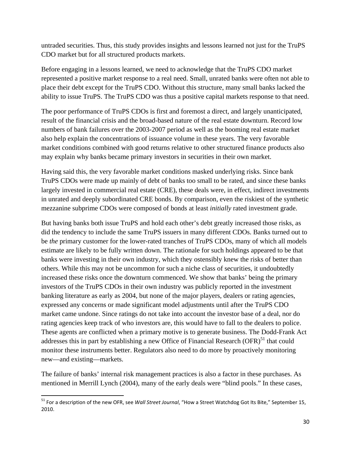untraded securities. Thus, this study provides insights and lessons learned not just for the TruPS CDO market but for all structured products markets.

Before engaging in a lessons learned, we need to acknowledge that the TruPS CDO market represented a positive market response to a real need. Small, unrated banks were often not able to place their debt except for the TruPS CDO. Without this structure, many small banks lacked the ability to issue TruPS. The TruPS CDO was thus a positive capital markets response to that need.

The poor performance of TruPS CDOs is first and foremost a direct, and largely unanticipated, result of the financial crisis and the broad-based nature of the real estate downturn. Record low numbers of bank failures over the 2003-2007 period as well as the booming real estate market also help explain the concentrations of issuance volume in these years. The very favorable market conditions combined with good returns relative to other structured finance products also may explain why banks became primary investors in securities in their own market.

Having said this, the very favorable market conditions masked underlying risks. Since bank TruPS CDOs were made up mainly of debt of banks too small to be rated, and since these banks largely invested in commercial real estate (CRE), these deals were, in effect, indirect investments in unrated and deeply subordinated CRE bonds. By comparison, even the riskiest of the synthetic mezzanine subprime CDOs were composed of bonds at least *initially* rated investment grade.

But having banks both issue TruPS and hold each other's debt greatly increased those risks, as did the tendency to include the same TruPS issuers in many different CDOs. Banks turned out to be *the* primary customer for the lower-rated tranches of TruPS CDOs, many of which all models estimate are likely to be fully written down. The rationale for such holdings appeared to be that banks were investing in their own industry, which they ostensibly knew the risks of better than others. While this may not be uncommon for such a niche class of securities, it undoubtedly increased these risks once the downturn commenced. We show that banks' being the primary investors of the TruPS CDOs in their own industry was publicly reported in the investment banking literature as early as 2004, but none of the major players, dealers or rating agencies, expressed any concerns or made significant model adjustments until after the TruPS CDO market came undone. Since ratings do not take into account the investor base of a deal, nor do rating agencies keep track of who investors are, this would have to fall to the dealers to police. These agents are conflicted when a primary motive is to generate business. The Dodd-Frank Act addresses this in part by establishing a new Office of Financial Research  $(OFR)^{51}$  that could monitor these instruments better. Regulators also need to do more by proactively monitoring new—and existing—markets.

The failure of banks' internal risk management practices is also a factor in these purchases. As mentioned in Merrill Lynch (2004), many of the early deals were "blind pools." In these cases,

 <sup>51</sup> For a description of the new OFR, see *Wall Street Journal*, "How a Street Watchdog Got Its Bite," September 15, 2010.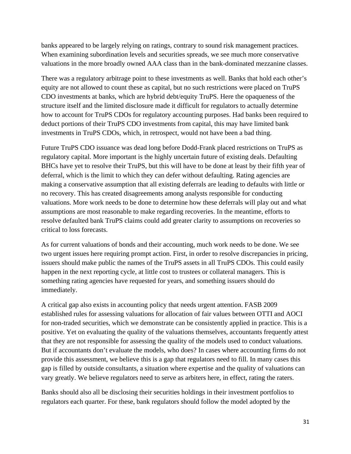banks appeared to be largely relying on ratings, contrary to sound risk management practices. When examining subordination levels and securities spreads, we see much more conservative valuations in the more broadly owned AAA class than in the bank-dominated mezzanine classes.

There was a regulatory arbitrage point to these investments as well. Banks that hold each other's equity are not allowed to count these as capital, but no such restrictions were placed on TruPS CDO investments at banks, which are hybrid debt/equity TruPS. Here the opaqueness of the structure itself and the limited disclosure made it difficult for regulators to actually determine how to account for TruPS CDOs for regulatory accounting purposes. Had banks been required to deduct portions of their TruPS CDO investments from capital, this may have limited bank investments in TruPS CDOs, which, in retrospect, would not have been a bad thing.

Future TruPS CDO issuance was dead long before Dodd-Frank placed restrictions on TruPS as regulatory capital. More important is the highly uncertain future of existing deals. Defaulting BHCs have yet to resolve their TruPS, but this will have to be done at least by their fifth year of deferral, which is the limit to which they can defer without defaulting. Rating agencies are making a conservative assumption that all existing deferrals are leading to defaults with little or no recovery. This has created disagreements among analysts responsible for conducting valuations. More work needs to be done to determine how these deferrals will play out and what assumptions are most reasonable to make regarding recoveries. In the meantime, efforts to resolve defaulted bank TruPS claims could add greater clarity to assumptions on recoveries so critical to loss forecasts.

As for current valuations of bonds and their accounting, much work needs to be done. We see two urgent issues here requiring prompt action. First, in order to resolve discrepancies in pricing, issuers should make public the names of the TruPS assets in all TruPS CDOs. This could easily happen in the next reporting cycle, at little cost to trustees or collateral managers. This is something rating agencies have requested for years, and something issuers should do immediately.

A critical gap also exists in accounting policy that needs urgent attention. FASB 2009 established rules for assessing valuations for allocation of fair values between OTTI and AOCI for non-traded securities, which we demonstrate can be consistently applied in practice. This is a positive. Yet on evaluating the quality of the valuations themselves, accountants frequently attest that they are not responsible for assessing the quality of the models used to conduct valuations. But if accountants don't evaluate the models, who does? In cases where accounting firms do not provide this assessment, we believe this is a gap that regulators need to fill. In many cases this gap is filled by outside consultants, a situation where expertise and the quality of valuations can vary greatly. We believe regulators need to serve as arbiters here, in effect, rating the raters.

Banks should also all be disclosing their securities holdings in their investment portfolios to regulators each quarter. For these, bank regulators should follow the model adopted by the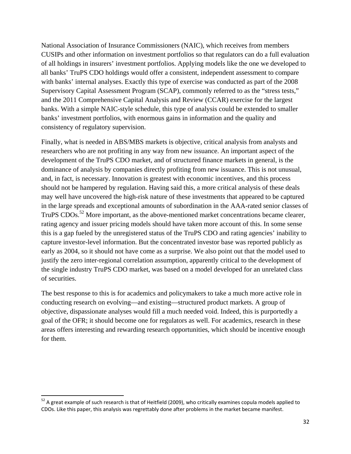National Association of Insurance Commissioners (NAIC), which receives from members CUSIPs and other information on investment portfolios so that regulators can do a full evaluation of all holdings in insurers' investment portfolios. Applying models like the one we developed to all banks' TruPS CDO holdings would offer a consistent, independent assessment to compare with banks' internal analyses. Exactly this type of exercise was conducted as part of the 2008 Supervisory Capital Assessment Program (SCAP), commonly referred to as the "stress tests," and the 2011 Comprehensive Capital Analysis and Review (CCAR) exercise for the largest banks. With a simple NAIC-style schedule, this type of analysis could be extended to smaller banks' investment portfolios, with enormous gains in information and the quality and consistency of regulatory supervision.

Finally, what is needed in ABS/MBS markets is objective, critical analysis from analysts and researchers who are not profiting in any way from new issuance. An important aspect of the development of the TruPS CDO market, and of structured finance markets in general, is the dominance of analysis by companies directly profiting from new issuance. This is not unusual, and, in fact, is necessary. Innovation is greatest with economic incentives, and this process should not be hampered by regulation. Having said this, a more critical analysis of these deals may well have uncovered the high-risk nature of these investments that appeared to be captured in the large spreads and exceptional amounts of subordination in the AAA-rated senior classes of TruPS CDOs.<sup>52</sup> More important, as the above-mentioned market concentrations became clearer, rating agency and issuer pricing models should have taken more account of this. In some sense this is a gap fueled by the unregistered status of the TruPS CDO and rating agencies' inability to capture investor-level information. But the concentrated investor base was reported publicly as early as 2004, so it should not have come as a surprise. We also point out that the model used to justify the zero inter-regional correlation assumption, apparently critical to the development of the single industry TruPS CDO market, was based on a model developed for an unrelated class of securities.

The best response to this is for academics and policymakers to take a much more active role in conducting research on evolving—and existing—structured product markets. A group of objective, dispassionate analyses would fill a much needed void. Indeed, this is purportedly a goal of the OFR; it should become one for regulators as well. For academics, research in these areas offers interesting and rewarding research opportunities, which should be incentive enough for them.

 $52$  A great example of such research is that of Heitfield (2009), who critically examines copula models applied to CDOs. Like this paper, this analysis was regrettably done after problems in the market became manifest.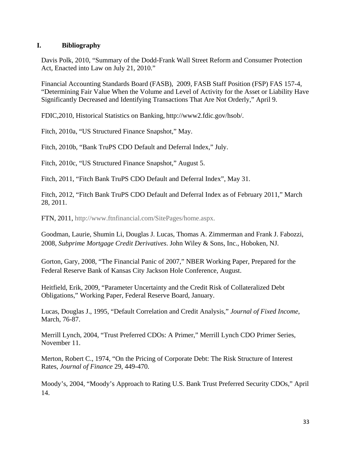### **I. Bibliography**

Davis Polk, 2010, "Summary of the Dodd-Frank Wall Street Reform and Consumer Protection Act, Enacted into Law on July 21, 2010."

Financial Accounting Standards Board (FASB), 2009, FASB Staff Position (FSP) FAS 157-4, "Determining Fair Value When the Volume and Level of Activity for the Asset or Liability Have Significantly Decreased and Identifying Transactions That Are Not Orderly," April 9.

FDIC,2010, Historical Statistics on Banking, http://www2.fdic.gov/hsob/.

Fitch, 2010a, "US Structured Finance Snapshot," May.

Fitch, 2010b, "Bank TruPS CDO Default and Deferral Index," July.

Fitch, 2010c, "US Structured Finance Snapshot," August 5.

Fitch, 2011, "Fitch Bank TruPS CDO Default and Deferral Index", May 31.

Fitch, 2012, "Fitch Bank TruPS CDO Default and Deferral Index as of February 2011," March 28, 2011.

FTN, 2011, http://www.ftnfinancial.com/SitePages/home.aspx.

Goodman, Laurie, Shumin Li, Douglas J. Lucas, Thomas A. Zimmerman and Frank J. Fabozzi, 2008, *Subprime Mortgage Credit Derivatives*. John Wiley & Sons, Inc., Hoboken, NJ.

Gorton, Gary, 2008, "The Financial Panic of 2007," NBER Working Paper, Prepared for the Federal Reserve Bank of Kansas City Jackson Hole Conference, August.

Heitfield, Erik, 2009, "Parameter Uncertainty and the Credit Risk of Collateralized Debt Obligations," Working Paper, Federal Reserve Board, January.

Lucas, Douglas J., 1995, "Default Correlation and Credit Analysis," *Journal of Fixed Income*, March, 76-87.

Merrill Lynch, 2004, "Trust Preferred CDOs: A Primer," Merrill Lynch CDO Primer Series, November 11.

Merton, Robert C., 1974, "On the Pricing of Corporate Debt: The Risk Structure of Interest Rates, *Journal of Finance* 29, 449-470.

Moody's, 2004, "Moody's Approach to Rating U.S. Bank Trust Preferred Security CDOs," April 14.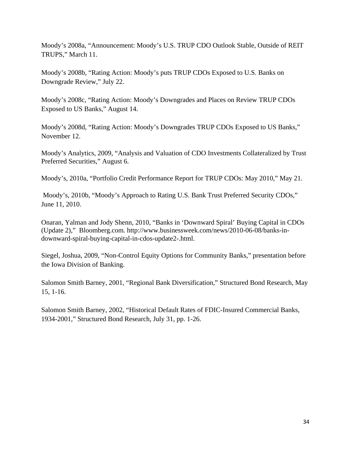Moody's 2008a, "Announcement: Moody's U.S. TRUP CDO Outlook Stable, Outside of REIT TRUPS," March 11.

Moody's 2008b, "Rating Action: Moody's puts TRUP CDOs Exposed to U.S. Banks on Downgrade Review," July 22.

Moody's 2008c, "Rating Action: Moody's Downgrades and Places on Review TRUP CDOs Exposed to US Banks," August 14.

Moody's 2008d, "Rating Action: Moody's Downgrades TRUP CDOs Exposed to US Banks," November 12.

Moody's Analytics, 2009, "Analysis and Valuation of CDO Investments Collateralized by Trust Preferred Securities," August 6.

Moody's, 2010a, "Portfolio Credit Performance Report for TRUP CDOs: May 2010," May 21.

 Moody's, 2010b, "Moody's Approach to Rating U.S. Bank Trust Preferred Security CDOs," June 11, 2010.

Onaran, Yalman and Jody Shenn, 2010, "Banks in 'Downward Spiral' Buying Capital in CDOs (Update 2)," Bloomberg.com. http://www.businessweek.com/news/2010-06-08/banks-indownward-spiral-buying-capital-in-cdos-update2-.html.

Siegel, Joshua, 2009, "Non-Control Equity Options for Community Banks," presentation before the Iowa Division of Banking.

Salomon Smith Barney, 2001, "Regional Bank Diversification," Structured Bond Research, May 15, 1-16.

Salomon Smith Barney, 2002, "Historical Default Rates of FDIC-Insured Commercial Banks, 1934-2001," Structured Bond Research, July 31, pp. 1-26.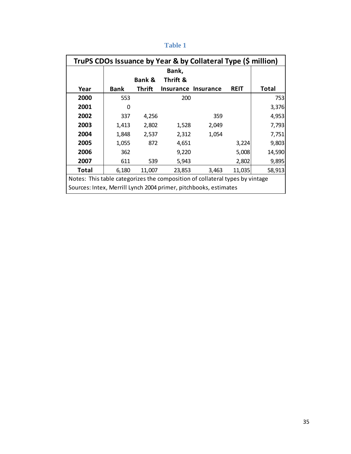| TruPS CDOs Issuance by Year & by Collateral Type (\$ million)    |                                                                              |                   |          |                     |             |        |  |  |  |
|------------------------------------------------------------------|------------------------------------------------------------------------------|-------------------|----------|---------------------|-------------|--------|--|--|--|
|                                                                  |                                                                              |                   | Bank,    |                     |             |        |  |  |  |
|                                                                  |                                                                              | <b>Bank &amp;</b> | Thrift & |                     |             |        |  |  |  |
| Year                                                             | Bank                                                                         | Thrift            |          | Insurance Insurance | <b>REIT</b> | Total  |  |  |  |
| 2000                                                             | 553                                                                          |                   | 200      |                     |             | 753    |  |  |  |
| 2001                                                             | 0                                                                            |                   |          |                     |             | 3,376  |  |  |  |
| 2002                                                             | 337                                                                          | 4,256             |          | 359                 |             | 4,953  |  |  |  |
| 2003                                                             | 1,413                                                                        | 2,802             | 1,528    | 2,049               |             | 7,793  |  |  |  |
| 2004                                                             | 1,848                                                                        | 2,537             | 2,312    | 1,054               |             | 7,751  |  |  |  |
| 2005                                                             | 1,055                                                                        | 872               | 4,651    |                     | 3,224       | 9,803  |  |  |  |
| 2006                                                             | 362                                                                          |                   | 9,220    |                     | 5,008       | 14,590 |  |  |  |
| 2007                                                             | 611                                                                          | 539               | 5,943    |                     | 2,802       | 9,895  |  |  |  |
| Total                                                            | 6,180                                                                        | 11,007            | 23,853   | 3,463               | 11,035      | 58,913 |  |  |  |
|                                                                  | Notes: This table categorizes the composition of collateral types by vintage |                   |          |                     |             |        |  |  |  |
| Sources: Intex, Merrill Lynch 2004 primer, pitchbooks, estimates |                                                                              |                   |          |                     |             |        |  |  |  |

## **Table 1**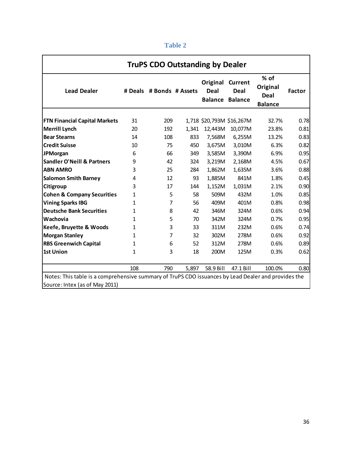## **Table 2**

| <b>Lead Dealer</b>                    |              | # Deals # Bonds # Assets |       | Original<br>Deal<br><b>Balance Balance</b> | Current<br><b>Deal</b> | $%$ of<br>Original<br><b>Deal</b><br><b>Balance</b> | Factor |
|---------------------------------------|--------------|--------------------------|-------|--------------------------------------------|------------------------|-----------------------------------------------------|--------|
| <b>FTN Financial Capital Markets</b>  | 31           | 209                      |       | 1,718 \$20,793M \$16,267M                  |                        | 32.7%                                               | 0.78   |
| <b>Merrill Lynch</b>                  | 20           | 192                      | 1,341 | 12,443M                                    | 10,077M                | 23.8%                                               | 0.81   |
| <b>Bear Stearns</b>                   | 14           | 108                      | 833   | 7,568M                                     | 6,255M                 | 13.2%                                               | 0.83   |
| <b>Credit Suisse</b>                  | 10           | 75                       | 450   | 3,675M                                     | 3,010M                 | 6.3%                                                | 0.82   |
| <b>JPMorgan</b>                       | 6            | 66                       | 349   | 3,585M                                     | 3,390M                 | 6.9%                                                | 0.95   |
| <b>Sandler O'Neill &amp; Partners</b> | 9            | 42                       | 324   | 3,219M                                     | 2,168M                 | 4.5%                                                | 0.67   |
| <b>ABN AMRO</b>                       | 3            | 25                       | 284   | 1,862M                                     | 1,635M                 | 3.6%                                                | 0.88   |
| <b>Salomon Smith Barney</b>           | 4            | 12                       | 93    | 1,885M                                     | 841M                   | 1.8%                                                | 0.45   |
| Citigroup                             | 3            | 17                       | 144   | 1,152M                                     | 1,031M                 | 2.1%                                                | 0.90   |
| <b>Cohen &amp; Company Securities</b> | $\mathbf{1}$ | 5                        | 58    | 509M                                       | 432M                   | 1.0%                                                | 0.85   |
| <b>Vining Sparks IBG</b>              | 1            | 7                        | 56    | 409M                                       | 401M                   | 0.8%                                                | 0.98   |
| <b>Deutsche Bank Securities</b>       | 1            | 8                        | 42    | 346M                                       | 324M                   | 0.6%                                                | 0.94   |
| Wachovia                              | 1            | 5                        | 70    | 342M                                       | 324M                   | 0.7%                                                | 0.95   |
| Keefe, Bruyette & Woods               | 1            | 3                        | 33    | 311M                                       | 232M                   | 0.6%                                                | 0.74   |
| <b>Morgan Stanley</b>                 | 1            | 7                        | 32    | 302M                                       | 278M                   | 0.6%                                                | 0.92   |
| <b>RBS Greenwich Capital</b>          | 1            | 6                        | 52    | 312M                                       | 278M                   | 0.6%                                                | 0.89   |
| <b>1st Union</b>                      | 1            | 3                        | 18    | 200M                                       | 125M                   | 0.3%                                                | 0.62   |
|                                       | 108          | 790                      | 5,897 | 58.9 Bill                                  | 47.1 Bill              | 100.0%                                              | 0.80   |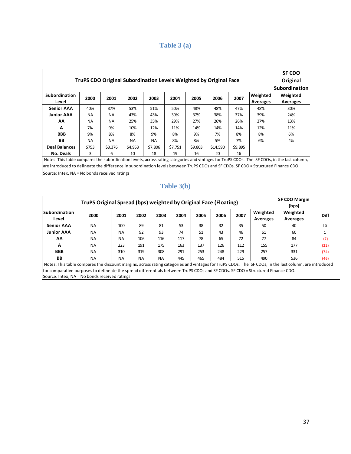| $\cdot$ able $\triangle$ |  |  |  |
|--------------------------|--|--|--|
|                          |  |  |  |
|                          |  |  |  |

|                                                                   |                                                                                                                                      |           |           |         |         |         |          |         |                 | <b>SF CDO</b>                                                                                                                               |
|-------------------------------------------------------------------|--------------------------------------------------------------------------------------------------------------------------------------|-----------|-----------|---------|---------|---------|----------|---------|-----------------|---------------------------------------------------------------------------------------------------------------------------------------------|
| TruPS CDO Original Subordination Levels Weighted by Original Face |                                                                                                                                      |           |           |         |         |         |          |         |                 |                                                                                                                                             |
|                                                                   |                                                                                                                                      |           |           |         |         |         |          |         |                 | Subordination                                                                                                                               |
| <b>Subordination</b>                                              | 2000                                                                                                                                 | 2001      | 2002      | 2003    | 2004    | 2005    | 2006     | 2007    | <b>Weighted</b> | Weighted                                                                                                                                    |
| Level                                                             |                                                                                                                                      |           |           |         |         |         |          |         | <b>Averages</b> | Averages                                                                                                                                    |
| <b>Senior AAA</b>                                                 | 40%                                                                                                                                  | 37%       | 53%       | 51%     | 50%     | 48%     | 48%      | 47%     | 48%             | 30%                                                                                                                                         |
| <b>Junior AAA</b>                                                 | NA.                                                                                                                                  | NA        | 43%       | 43%     | 39%     | 37%     | 38%      | 37%     | 39%             | 24%                                                                                                                                         |
| AA                                                                | <b>NA</b>                                                                                                                            | <b>NA</b> | 25%       | 35%     | 29%     | 27%     | 26%      | 26%     | 27%             | 13%                                                                                                                                         |
| A                                                                 | 7%                                                                                                                                   | 9%        | 10%       | 12%     | 11%     | 14%     | 14%      | 14%     | 12%             | 11%                                                                                                                                         |
| <b>BBB</b>                                                        | 9%                                                                                                                                   | 8%        | 8%        | 9%      | 8%      | 9%      | 7%       | 8%      | 8%              | 6%                                                                                                                                          |
| <b>BB</b>                                                         | <b>NA</b>                                                                                                                            | <b>NA</b> | <b>NA</b> | NA.     | 8%      | 8%      | 5%       | 7%      | 6%              | 4%                                                                                                                                          |
| <b>Deal Balances</b>                                              | \$753                                                                                                                                | \$3,376   | \$4,953   | \$7,806 | \$7,751 | \$9,803 | \$14,590 | \$9,895 |                 |                                                                                                                                             |
| No. Deals                                                         | 3                                                                                                                                    | 6         | 10        | 18      | 19      | 16      | 20       | 16      |                 |                                                                                                                                             |
|                                                                   |                                                                                                                                      |           |           |         |         |         |          |         |                 | Notes: This table compares the subordination levels, across rating categories and vintages for TruPS CDOs. The SF CDOs, in the last column, |
|                                                                   | lare introduced to delineate the difference in subordination levels between TruPS CDOs and SF CDOs. SF CDO = Structured Finance CDO. |           |           |         |         |         |          |         |                 |                                                                                                                                             |
| Source: Intex, NA = No bonds received ratings                     |                                                                                                                                      |           |           |         |         |         |          |         |                 |                                                                                                                                             |

Source: Intex, NA = No bonds received ratings

## **Table 3(b)**

| TruPS Original Spread (bps) weighted by Original Face (Floating) |           |           |           |           |      |      |      |      |                      |                      |             |
|------------------------------------------------------------------|-----------|-----------|-----------|-----------|------|------|------|------|----------------------|----------------------|-------------|
| <b>Subordination</b><br>Level                                    | 2000      | 2001      | 2002      | 2003      | 2004 | 2005 | 2006 | 2007 | Weighted<br>Averages | Weighted<br>Averages | <b>Diff</b> |
| <b>Senior AAA</b>                                                | <b>NA</b> | 100       | 89        | 81        | 53   | 38   | 32   | 35   | 50                   | 40                   | 10          |
| <b>Junior AAA</b>                                                | <b>NA</b> | <b>NA</b> | 92        | 93        | 74   | 51   | 43   | 46   | 61                   | 60                   |             |
| AA                                                               | <b>NA</b> | <b>NA</b> | 106       | 116       | 117  | 78   | 65   | 72   | 77                   | 84                   | (7)         |
| A                                                                | <b>NA</b> | 223       | 191       | 175       | 163  | 137  | 126  | 112  | 155                  | 177                  | (22)        |
| <b>BBB</b>                                                       | <b>NA</b> | 310       | 319       | 308       | 291  | 253  | 248  | 229  | 257                  | 331                  | (74)        |
| BB                                                               | <b>NA</b> | <b>NA</b> | <b>NA</b> | <b>NA</b> | 445  | 465  | 484  | 515  | 490                  | 536                  | (46)        |

Source: Intex, NA = No bonds received ratings Notes: This table compares the discount margins, across rating categories and vintages for TruPS CDOs. The SF CDOs, in the last column, are introduced for comparative purposes to delineate the spread differentials between TruPS CDOs and SF CDOs. SF CDO = Structured Finance CDO.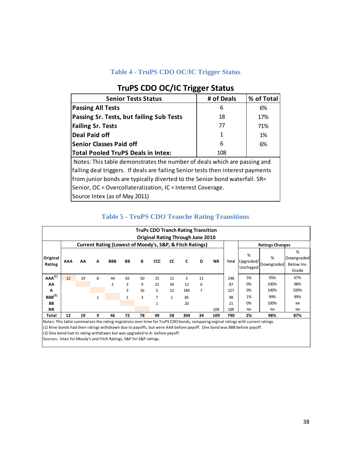## **Table 4 - TruPS CDO OC/IC Trigger Status**

|                                                                                 | uu         |            |
|---------------------------------------------------------------------------------|------------|------------|
| <b>Senior Tests Status</b>                                                      | # of Deals | % of Total |
| <b>Passing All Tests</b>                                                        | 6          | 6%         |
| Passing Sr. Tests, but failing Sub Tests                                        | 18         | 17%        |
| <b>Failing Sr. Tests</b>                                                        | 77         | 71%        |
| <b>Deal Paid off</b>                                                            | 1          | 1%         |
| <b>Senior Classes Paid off</b>                                                  | 6          | 6%         |
| <b>Total Pooled TruPS Deals in Intex:</b>                                       | 108        |            |
| Notes: This table demonstrates the number of deals which are passing and        |            |            |
| failing deal triggers. If deals are failing Senior tests then interest payments |            |            |
| from junior bonds are typically diverted to the Senior bond waterfall. SR=      |            |            |
| Senior, OC = Overcollateralization, IC = Interest Coverage.                     |            |            |
| Source Intex (as of May 2011)                                                   |            |            |

# **TruPS CDO OC/IC Trigger Status**

## **Table 5 - TruPS CDO Tranche Rating Transitions**

|                    | <b>TruPs CDO Tranch Rating Transition</b><br><b>Original Rating Through June 2010</b>                                                                                                                                                                                                                                                        |    |              |                |              |    |     |              |     |    |                        |       |                            |                        |                                        |
|--------------------|----------------------------------------------------------------------------------------------------------------------------------------------------------------------------------------------------------------------------------------------------------------------------------------------------------------------------------------------|----|--------------|----------------|--------------|----|-----|--------------|-----|----|------------------------|-------|----------------------------|------------------------|----------------------------------------|
|                    | Current Rating (Lowest of Moody's, S&P, & Fitch Ratings)                                                                                                                                                                                                                                                                                     |    |              |                |              |    |     |              |     |    | <b>Ratings Changes</b> |       |                            |                        |                                        |
| Original<br>Rating | AAA                                                                                                                                                                                                                                                                                                                                          | AΑ | Α            | <b>BBB</b>     | BB           | В  | CCC | <b>CC</b>    | C   | D  | <b>NR</b>              | Total | %<br>Upgraded/<br>Unchaged | %<br><b>Downgraded</b> | %<br>Downgraded<br>Below Inv.<br>Grade |
| AAA <sup>(1)</sup> | 12                                                                                                                                                                                                                                                                                                                                           | 19 | 8            | 44             | 65           | 50 | 15  | 11           | 3   | 21 |                        | 248   | 5%                         | 95%                    | 67%                                    |
| AΑ                 |                                                                                                                                                                                                                                                                                                                                              |    |              | $\overline{2}$ | 3            | 9  | 21  | 34           | 12  | 6  |                        | 87    | 0%                         | 100%                   | 98%                                    |
| A                  |                                                                                                                                                                                                                                                                                                                                              |    |              |                | 3            | 16 | 5   | 12           | 184 | 7  |                        | 227   | 0%                         | 100%                   | 100%                                   |
| BBB <sup>(2)</sup> |                                                                                                                                                                                                                                                                                                                                              |    | $\mathbf{1}$ |                | $\mathbf{1}$ | 3  | 7   | $\mathbf{1}$ | 85  |    |                        | 98    | 1%                         | 99%                    | 99%                                    |
| <b>BB</b>          |                                                                                                                                                                                                                                                                                                                                              |    |              |                |              |    |     |              | 20  |    |                        | 21    | 0%                         | 100%                   | <b>NA</b>                              |
| <b>NR</b>          |                                                                                                                                                                                                                                                                                                                                              |    |              |                |              |    |     |              |     |    | 109                    | 109   | <b>NA</b>                  | <b>NA</b>              | <b>NA</b>                              |
| Total              | 12                                                                                                                                                                                                                                                                                                                                           | 19 | 9            | 46             | 72           | 78 | 49  | 58           | 304 | 34 | 109                    | 790   | 2%                         | 98%                    | 87%                                    |
|                    | Notes: This table summarizes the rating migrations over time for TruPS CDO bonds, comparing orginal ratings with current ratings.<br>$(1)$ Nine bonds had their ratings withdrawn due to payoffs, but were AAA before payoff. One bond was BBB before payoff.<br>(2) One bond had its rating withdrawn but was upgraded to A- before payoff. |    |              |                |              |    |     |              |     |    |                        |       |                            |                        |                                        |

Sources: Intex for Moody's and Fitch Ratings, S&P for S&P ratings.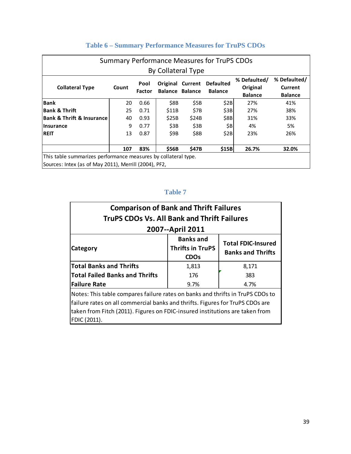| <b>Summary Performance Measures for TruPS CDOs</b><br>By Collateral Type |                                                                |                |                         |                        |                                    |                                            |                                           |  |  |  |
|--------------------------------------------------------------------------|----------------------------------------------------------------|----------------|-------------------------|------------------------|------------------------------------|--------------------------------------------|-------------------------------------------|--|--|--|
| <b>Collateral Type</b>                                                   | Count                                                          | Pool<br>Factor | <b>Original Current</b> | <b>Balance Balance</b> | <b>Defaulted</b><br><b>Balance</b> | % Defaulted/<br>Original<br><b>Balance</b> | % Defaulted/<br>Current<br><b>Balance</b> |  |  |  |
| <b>Bank</b>                                                              | 20                                                             | 0.66           | \$8B                    | \$5B                   | \$2B                               | 27%                                        | 41%                                       |  |  |  |
| <b>Bank &amp; Thrift</b>                                                 | 25                                                             | 0.71           | \$11B                   | \$7B                   | \$3B                               | 27%                                        | 38%                                       |  |  |  |
| <b>Bank &amp; Thrift &amp; Insurance</b>                                 | 40                                                             | 0.93           | \$25B                   | \$24B                  | \$8B                               | 31%                                        | 33%                                       |  |  |  |
| <b>Insurance</b>                                                         | 9                                                              | 0.77           | \$3B                    | \$3B                   | \$B                                | 4%                                         | 5%                                        |  |  |  |
| <b>REIT</b>                                                              | 13                                                             | 0.87           | \$9B                    | \$8B                   | \$2B                               | 23%                                        | 26%                                       |  |  |  |
|                                                                          | 107                                                            | 83%            | <b>\$56B</b>            | <b>\$47B</b>           | \$15B                              | 26.7%                                      | 32.0%                                     |  |  |  |
|                                                                          | This table summarizes performance measures by collateral type. |                |                         |                        |                                    |                                            |                                           |  |  |  |
| Sources: Intex (as of May 2011), Merrill (2004), PF2,                    |                                                                |                |                         |                        |                                    |                                            |                                           |  |  |  |

# **Table 6 – Summary Performance Measures for TruPS CDOs**

## **Table 7**

| <b>Comparison of Bank and Thrift Failures</b><br><b>TruPS CDOs Vs. All Bank and Thrift Failures</b>                                                                                                                                                             |       |       |  |  |  |  |  |  |  |
|-----------------------------------------------------------------------------------------------------------------------------------------------------------------------------------------------------------------------------------------------------------------|-------|-------|--|--|--|--|--|--|--|
| 2007--April 2011                                                                                                                                                                                                                                                |       |       |  |  |  |  |  |  |  |
| <b>Banks and</b><br><b>Total FDIC-Insured</b><br><b>Thrifts in TruPS</b><br>Category<br><b>Banks and Thrifts</b><br><b>CDOs</b>                                                                                                                                 |       |       |  |  |  |  |  |  |  |
| <b>Total Banks and Thrifts</b>                                                                                                                                                                                                                                  | 1,813 | 8,171 |  |  |  |  |  |  |  |
| <b>Total Failed Banks and Thrifts</b>                                                                                                                                                                                                                           | 176   | 383   |  |  |  |  |  |  |  |
| <b>Failure Rate</b>                                                                                                                                                                                                                                             | 9.7%  | 4.7%  |  |  |  |  |  |  |  |
| Notes: This table compares failure rates on banks and thrifts in TruPS CDOs to<br>failure rates on all commercial banks and thrifts. Figures for TruPS CDOs are<br>taken from Fitch (2011). Figures on FDIC-insured institutions are taken from<br>FDIC (2011). |       |       |  |  |  |  |  |  |  |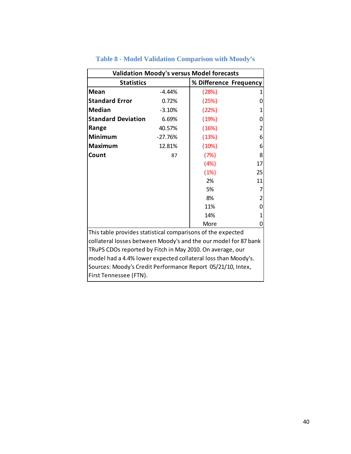| <b>Validation Moody's versus Model forecasts</b>                |           |                        |    |  |  |  |  |  |  |
|-----------------------------------------------------------------|-----------|------------------------|----|--|--|--|--|--|--|
| <b>Statistics</b>                                               |           | % Difference Frequency |    |  |  |  |  |  |  |
| Mean                                                            | $-4.44%$  | (28%)                  |    |  |  |  |  |  |  |
| <b>Standard Error</b>                                           | 0.72%     | (25%)                  |    |  |  |  |  |  |  |
| <b>Median</b>                                                   | $-3.10%$  | (22%)                  | 1  |  |  |  |  |  |  |
| <b>Standard Deviation</b>                                       | 6.69%     | (19%)                  | 0  |  |  |  |  |  |  |
| Range                                                           | 40.57%    | (16%)                  |    |  |  |  |  |  |  |
| Minimum                                                         | $-27.76%$ | (13%)                  | 6  |  |  |  |  |  |  |
| <b>Maximum</b>                                                  | 12.81%    | (10%)                  | 6  |  |  |  |  |  |  |
| Count                                                           | 87        | (7%)                   | 8  |  |  |  |  |  |  |
|                                                                 |           | (4%)                   | 17 |  |  |  |  |  |  |
|                                                                 |           | (1%)                   | 25 |  |  |  |  |  |  |
|                                                                 |           | 2%                     | 11 |  |  |  |  |  |  |
|                                                                 |           | 5%                     | 7  |  |  |  |  |  |  |
|                                                                 |           | 8%                     | 2  |  |  |  |  |  |  |
|                                                                 |           | 11%                    | 0  |  |  |  |  |  |  |
|                                                                 |           | 14%                    | 1  |  |  |  |  |  |  |
|                                                                 |           | More                   | 0  |  |  |  |  |  |  |
| This table provides statistical comparisons of the expected     |           |                        |    |  |  |  |  |  |  |
| collateral losses between Moody's and the our model for 87 bank |           |                        |    |  |  |  |  |  |  |
| TRuPS CDOs reported by Fitch in May 2010. On average, our       |           |                        |    |  |  |  |  |  |  |
| model had a 4.4% lower expected collateral loss than Moody's.   |           |                        |    |  |  |  |  |  |  |
| Sources: Moody's Credit Performance Report 05/21/10, Intex,     |           |                        |    |  |  |  |  |  |  |
| First Tennessee (FTN).                                          |           |                        |    |  |  |  |  |  |  |

# **Table 8 - Model Validation Comparison with Moody's**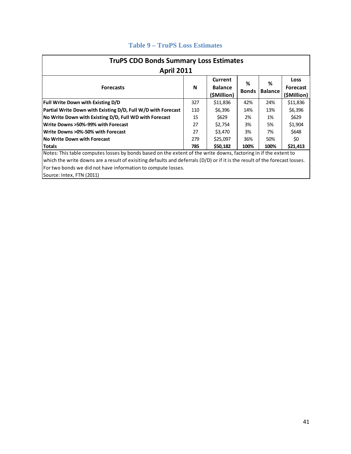| <b>TruPS CDO Bonds Summary Loss Estimates</b><br><b>April 2011</b> |     |                                          |                   |                     |                                               |  |  |  |
|--------------------------------------------------------------------|-----|------------------------------------------|-------------------|---------------------|-----------------------------------------------|--|--|--|
| <b>Forecasts</b>                                                   |     | Current<br><b>Balance</b><br>(\$Million) | %<br><b>Bonds</b> | %<br><b>Balance</b> | <b>Loss</b><br><b>Forecast</b><br>(\$Million) |  |  |  |
| <b>Full Write Down with Existing D/D</b>                           | 327 | \$11,836                                 | 42%               | 24%                 | \$11,836                                      |  |  |  |
| Partial Write Down with Existing D/D, Full W/D with Forecast       | 110 | \$6,396                                  | 14%               | 13%                 | \$6,396                                       |  |  |  |
| No Write Down with Existing D/D, Full WD with Forecast             | 15  | \$629                                    | 2%                | 1%                  | \$629                                         |  |  |  |
| Write Downs > 50%-99% with Forecast                                | 27  | \$2,754                                  | 3%                | 5%                  | \$1,904                                       |  |  |  |
| Write Downs >0%-50% with Forecast                                  | 27  | \$3,470                                  | 3%                | 7%                  | \$648                                         |  |  |  |
| No Write Down with Forecast                                        | 279 | \$25,097                                 | 36%               | 50%                 | \$0                                           |  |  |  |
| <b>Totals</b>                                                      | 785 | \$50.182                                 | 100%              | 100%                | \$21,413                                      |  |  |  |

## **Table 9 – TruPS Loss Estimates**

For two bonds we did not have information to compute losses. Notes: This table computes losses by bonds based on the extent of the write downs, factoring in if the extent to which the write downs are a result of exisiting defaults and deferrals (D/D) or if it is the result of the forecast losses.

Source: Intex, FTN (2011)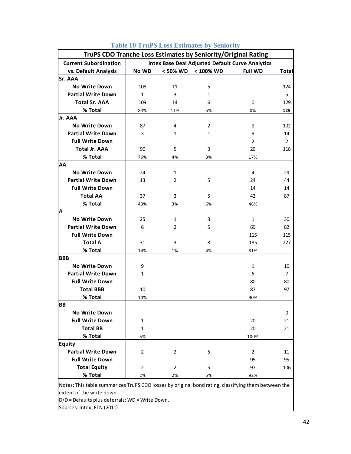| TruPS CDO Tranche Loss Estimates by Seniority/Original Rating |                                                         |                |                |                |                |  |  |  |
|---------------------------------------------------------------|---------------------------------------------------------|----------------|----------------|----------------|----------------|--|--|--|
| <b>Current Subordination</b>                                  | <b>Intex Base Deal Adjusted Default Curve Analytics</b> |                |                |                |                |  |  |  |
| vs. Default Analysis                                          | No WD                                                   | < 50% WD       | < 100% WD      | <b>Full WD</b> | <b>Total</b>   |  |  |  |
| lSr. AAA                                                      |                                                         |                |                |                |                |  |  |  |
| <b>No Write Down</b>                                          | 108                                                     | 11             | 5              |                | 124            |  |  |  |
| <b>Partial Write Down</b>                                     | $\mathbf{1}$                                            | 3              | 1              |                | 5              |  |  |  |
| <b>Total Sr. AAA</b>                                          | 109                                                     | 14             | 6              | 0              | 129            |  |  |  |
| % Total                                                       | 84%                                                     | 11%            | 5%             | 0%             | 129            |  |  |  |
| Jr. AAA                                                       |                                                         |                |                |                |                |  |  |  |
| <b>No Write Down</b>                                          | 87                                                      | 4              | $\overline{2}$ | 9              | 102            |  |  |  |
| <b>Partial Write Down</b>                                     | 3                                                       | 1              | 1              | 9              | 14             |  |  |  |
| <b>Full Write Down</b>                                        |                                                         |                |                | $\overline{2}$ | $\overline{2}$ |  |  |  |
| <b>Total Jr. AAA</b>                                          | 90                                                      | 5              | 3              | 20             | 118            |  |  |  |
| % Total                                                       | 76%                                                     | 4%             | 3%             | 17%            |                |  |  |  |
| AA                                                            |                                                         |                |                |                |                |  |  |  |
| <b>No Write Down</b>                                          | 24                                                      | 1              |                | 4              | 29             |  |  |  |
| <b>Partial Write Down</b>                                     | 13                                                      | $\overline{2}$ | 5              | 24             | 44             |  |  |  |
| <b>Full Write Down</b>                                        |                                                         |                |                | 14             | 14             |  |  |  |
| <b>Total AA</b>                                               | 37                                                      | 3              | 5              | 42             | 87             |  |  |  |
| % Total                                                       | 43%                                                     | 3%             | 6%             | 48%            |                |  |  |  |
| A                                                             |                                                         |                |                |                |                |  |  |  |
| <b>No Write Down</b>                                          | 25                                                      | $\mathbf{1}$   | 3              | $\mathbf{1}$   | 30             |  |  |  |
| <b>Partial Write Down</b>                                     | 6                                                       | $\overline{2}$ | 5              | 69             | 82             |  |  |  |
| <b>Full Write Down</b>                                        |                                                         |                |                | 115            | 115            |  |  |  |
| <b>Total A</b>                                                | 31                                                      | 3              | 8              | 185            | 227            |  |  |  |
| % Total                                                       | 14%                                                     | 1%             | 4%             | 81%            |                |  |  |  |
| <b>BBB</b>                                                    |                                                         |                |                |                |                |  |  |  |
| <b>No Write Down</b>                                          | 9                                                       |                |                | $\mathbf{1}$   | 10             |  |  |  |
| <b>Partial Write Down</b>                                     | 1                                                       |                |                | 6              | $\overline{7}$ |  |  |  |
| <b>Full Write Down</b>                                        |                                                         |                |                | 80             | 80             |  |  |  |
| <b>Total BBB</b>                                              | 10                                                      |                |                | 87             | 97             |  |  |  |
| % Total                                                       | 10%                                                     |                |                | 90%            |                |  |  |  |
| <b>BB</b>                                                     |                                                         |                |                |                |                |  |  |  |
| <b>No Write Down</b>                                          |                                                         |                |                |                | $\mathbf 0$    |  |  |  |
| <b>Full Write Down</b>                                        | $\mathbf{1}$                                            |                |                | 20             | 21             |  |  |  |
| <b>Total BB</b>                                               | $\mathbf{1}$                                            |                |                | 20             | 21             |  |  |  |
| % Total                                                       | 5%                                                      |                |                | 100%           |                |  |  |  |
| <b>Equity</b>                                                 |                                                         |                |                |                |                |  |  |  |
| <b>Partial Write Down</b>                                     | $\overline{2}$                                          | $\overline{2}$ | 5              | $\overline{2}$ | 11             |  |  |  |
| <b>Full Write Down</b>                                        |                                                         |                |                | 95             | 95             |  |  |  |
| <b>Total Equity</b>                                           | $\overline{2}$                                          | $\overline{2}$ | 5              | 97             | 106            |  |  |  |
| % Total                                                       | 2%                                                      | 2%             | 5%             | 92%            |                |  |  |  |

### **Table 10 TruPS Loss Estimates by Seniority**

Notes: This table summarizes TruPS CDO losses by original bond rating, classifying them between the extent of the write down.

D/D = Defaults plus deferrals; WD = Write Down.

Sources: Intex, FTN (2011)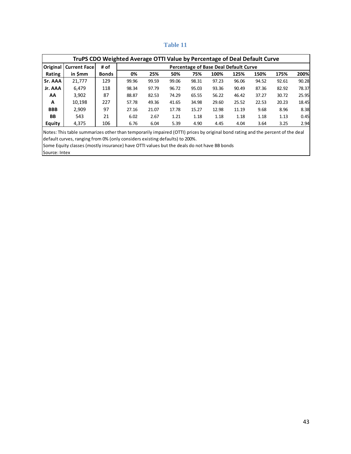**Table 11** 

| TruPS CDO Weighted Average OTTI Value by Percentage of Deal Default Curve |                                  |              |                                       |       |       |       |       |       |       |       |       |  |  |  |
|---------------------------------------------------------------------------|----------------------------------|--------------|---------------------------------------|-------|-------|-------|-------|-------|-------|-------|-------|--|--|--|
|                                                                           | <b>Original   Current Face  </b> | # of         | Percentage of Base Deal Default Curve |       |       |       |       |       |       |       |       |  |  |  |
| Rating                                                                    | in Smm                           | <b>Bonds</b> | 0%                                    | 25%   | 50%   | 75%   | 100%  | 125%  | 150%  | 175%  | 200%  |  |  |  |
| Sr. AAA                                                                   | 21.777                           | 129          | 99.96                                 | 99.59 | 99.06 | 98.31 | 97.23 | 96.06 | 94.52 | 92.61 | 90.28 |  |  |  |
| Jr. AAA                                                                   | 6,479                            | 118          | 98.34                                 | 97.79 | 96.72 | 95.03 | 93.36 | 90.49 | 87.36 | 82.92 | 78.37 |  |  |  |
| AA                                                                        | 3,902                            | 87           | 88.87                                 | 82.53 | 74.29 | 65.55 | 56.22 | 46.42 | 37.27 | 30.72 | 25.95 |  |  |  |
| A                                                                         | 10,198                           | 227          | 57.78                                 | 49.36 | 41.65 | 34.98 | 29.60 | 25.52 | 22.53 | 20.23 | 18.45 |  |  |  |
| <b>BBB</b>                                                                | 2,909                            | 97           | 27.16                                 | 21.07 | 17.78 | 15.27 | 12.98 | 11.19 | 9.68  | 8.96  | 8.38  |  |  |  |
| BB                                                                        | 543                              | 21           | 6.02                                  | 2.67  | 1.21  | 1.18  | 1.18  | 1.18  | 1.18  | 1.13  | 0.45  |  |  |  |
| Equity                                                                    | 4.375                            | 106          | 6.76                                  | 6.04  | 5.39  | 4.90  | 4.45  | 4.04  | 3.64  | 3.25  | 2.94  |  |  |  |

Notes: This table summarizes other than temporarily impaired (OTTI) prices by original bond rating and the percent of the deal default curves, ranging from 0% (only considers existing defaults) to 200%.

Some Equity classes (mostly insurance) have OTTI values but the deals do not have BB bonds

Source: Intex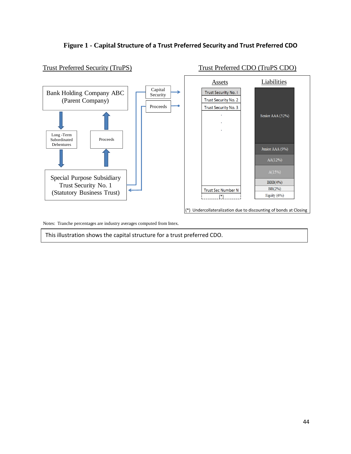### **Figure 1 - Capital Structure of a Trust Preferred Security and Trust Preferred CDO**



Notes: Tranche percentages are industry averages computed from Intex.

This illustration shows the capital structure for a trust preferred CDO.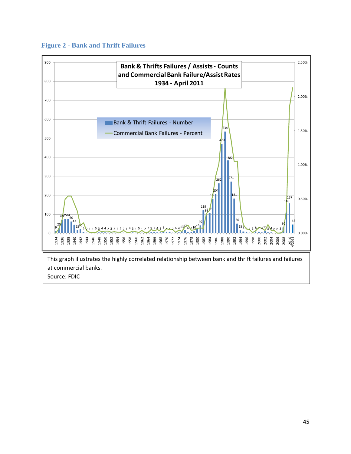

## **Figure 2 - Bank and Thrift Failures**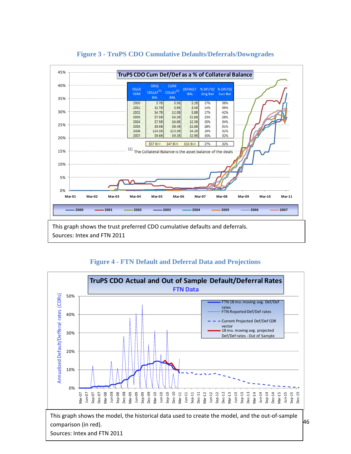

#### **Figure 3 - TruPS CDO Cumulative Defaults/Deferrals/Downgrades**

## **Figure 4 - FTN Default and Deferral Data and Projections**



46 This graph shows the model, the historical data used to create the model, and the out‐of‐sample comparison (in red).

Sources: Intex and FTN 2011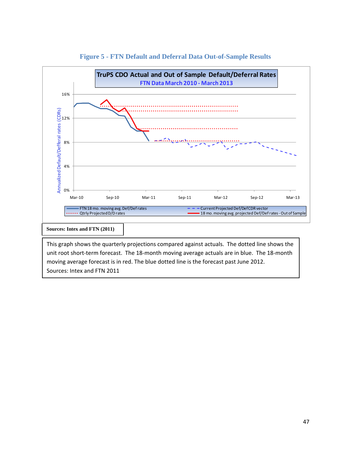



moving average forecast is in red. The blue dotted line is the forecast past June 2012. Sources: Intex and FTN 2011